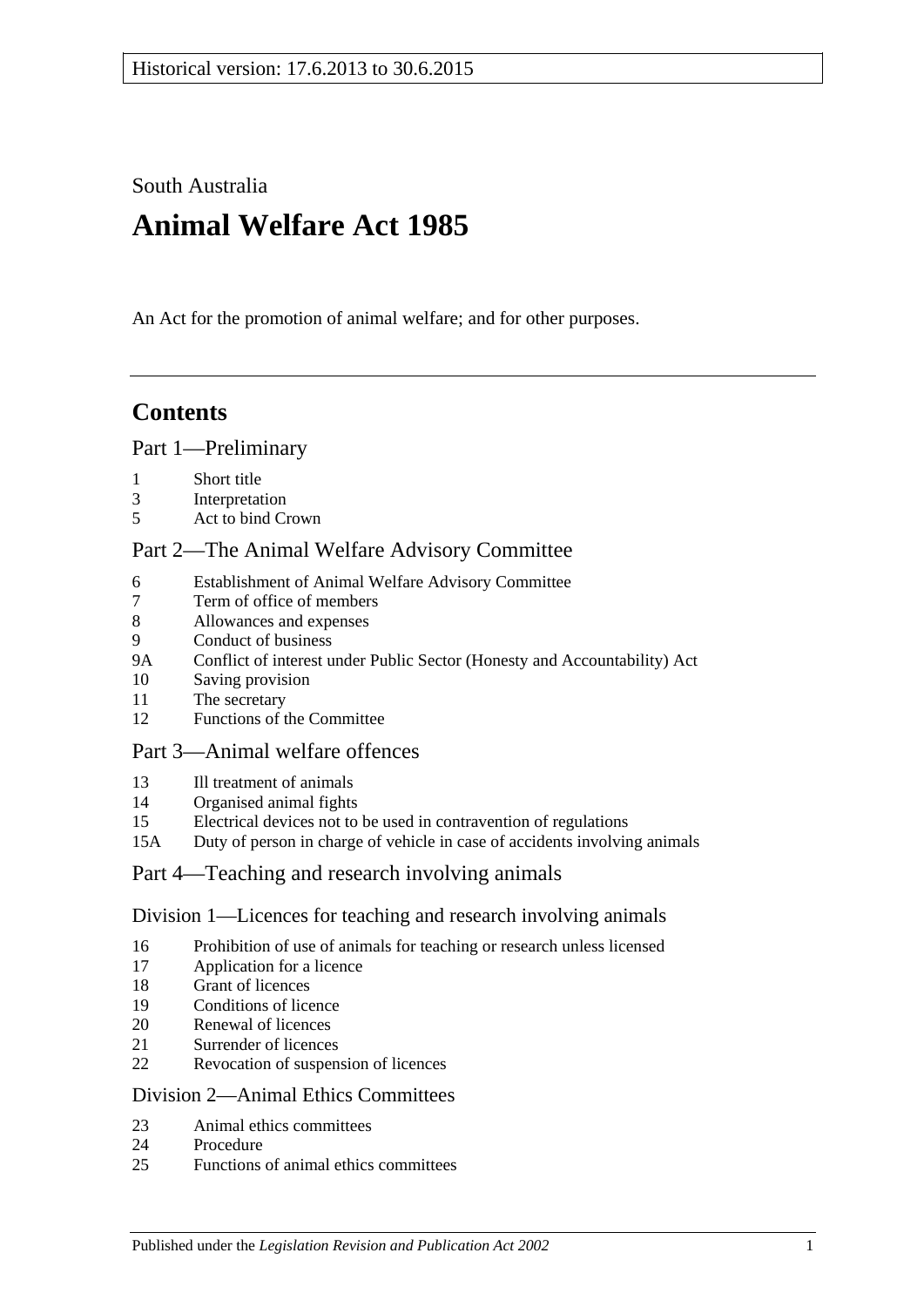South Australia

# **Animal Welfare Act 1985**

An Act for the promotion of animal welfare; and for other purposes.

# **Contents**

#### [Part 1—Preliminary](#page-1-0)

- [Short title](#page-1-1)
- [Interpretation](#page-2-0)
- [Act to bind Crown](#page-3-0)

## [Part 2—The Animal Welfare Advisory Committee](#page-3-1)

- [Establishment of Animal Welfare Advisory Committee](#page-3-2)
- [Term of office of members](#page-4-0)<br>8 Allowances and expenses
- [Allowances and expenses](#page-4-1)
- [Conduct of business](#page-5-0)
- 9A [Conflict of interest under Public Sector \(Honesty and Accountability\) Act](#page-5-1)
- [Saving provision](#page-5-2)
- [The secretary](#page-5-3)
- [Functions of the Committee](#page-5-4)

## [Part 3—Animal welfare offences](#page-6-0)

- [Ill treatment of animals](#page-6-1)
- [Organised animal fights](#page-7-0)
- [Electrical devices not to be used in contravention of regulations](#page-8-0)
- 15A [Duty of person in charge of vehicle in case of accidents involving animals](#page-8-1)

#### [Part 4—Teaching and research involving animals](#page-8-2)

#### [Division 1—Licences for teaching and research involving animals](#page-8-3)

- [Prohibition of use of animals for teaching or research unless licensed](#page-8-4)
- [Application for a licence](#page-8-5)
- [Grant of licences](#page-9-0)
- [Conditions of licence](#page-9-1)
- [Renewal of licences](#page-10-0)
- [Surrender of licences](#page-10-1)
- [Revocation of suspension of licences](#page-10-2)

#### [Division 2—Animal Ethics Committees](#page-10-3)

- [Animal ethics committees](#page-10-4)
- [Procedure](#page-11-0)
- [Functions of animal ethics committees](#page-11-1)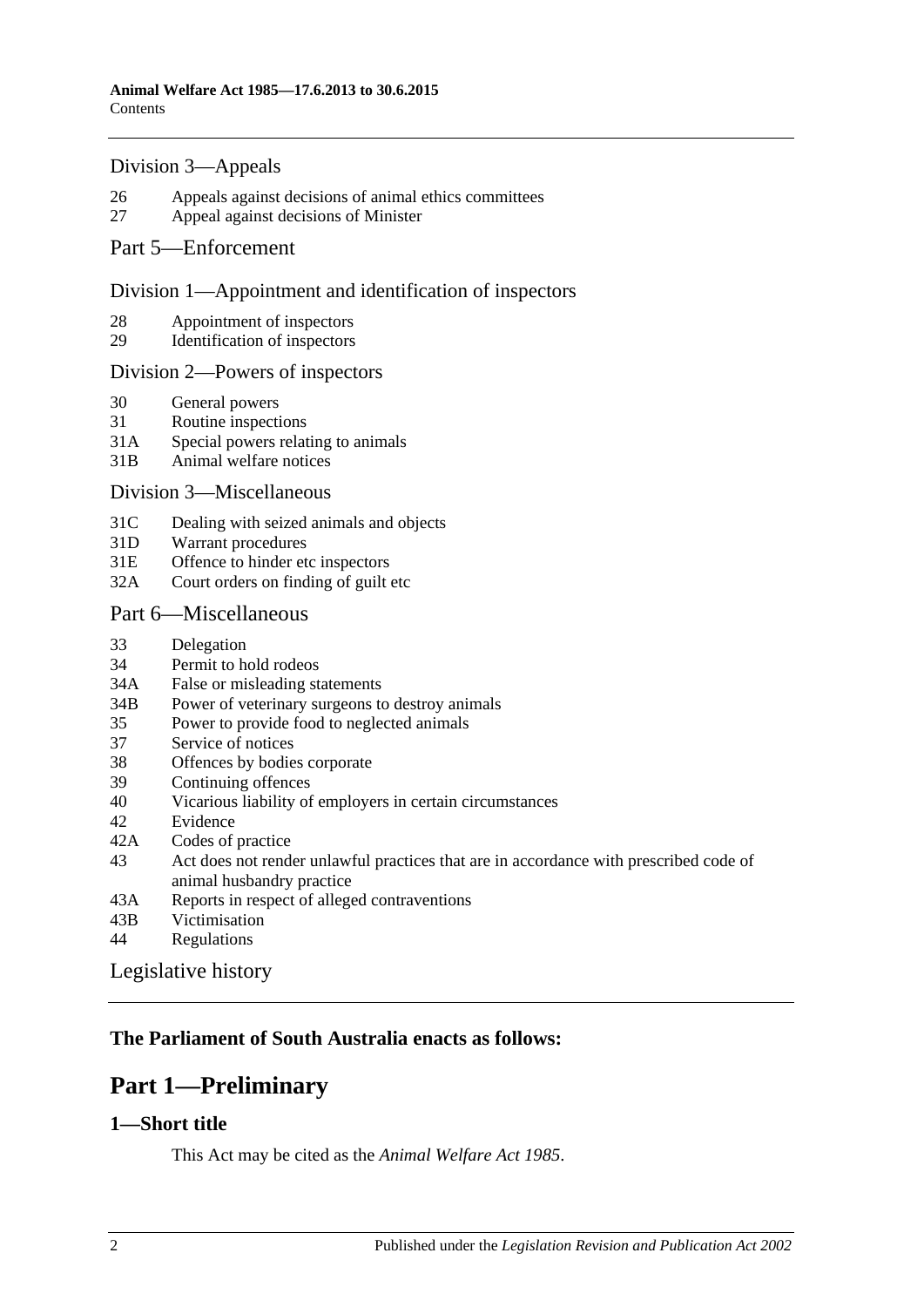#### [Division 3—Appeals](#page-12-0)

- 26 [Appeals against decisions of animal ethics committees](#page-12-1)
- 27 [Appeal against decisions of Minister](#page-12-2)

#### [Part 5—Enforcement](#page-13-0)

#### [Division 1—Appointment and identification of inspectors](#page-13-1)

- 28 [Appointment of inspectors](#page-13-2)
- 29 [Identification of inspectors](#page-13-3)

#### [Division 2—Powers of inspectors](#page-14-0)

- 30 [General powers](#page-14-1)
- 31 [Routine inspections](#page-15-0)
- 31A [Special powers relating to animals](#page-16-0)
- 31B [Animal welfare notices](#page-17-0)

#### [Division 3—Miscellaneous](#page-17-1)

- 31C [Dealing with seized animals and objects](#page-17-2)
- 31D [Warrant procedures](#page-18-0)
- 31E [Offence to hinder etc inspectors](#page-19-0)
- 32A [Court orders on finding of guilt etc](#page-19-1)

#### [Part 6—Miscellaneous](#page-20-0)

- 33 [Delegation](#page-20-1)
- 34 [Permit to hold rodeos](#page-20-2)
- 34A [False or misleading statements](#page-20-3)
- 34B [Power of veterinary surgeons to destroy animals](#page-21-0)
- 35 [Power to provide food to neglected animals](#page-21-1)
- 37 [Service of notices](#page-21-2)
- 38 [Offences by bodies corporate](#page-21-3)
- 39 [Continuing offences](#page-22-0)
- 40 [Vicarious liability of employers in certain circumstances](#page-22-1)
- 42 [Evidence](#page-22-2)
- 42A [Codes of practice](#page-22-3)
- 43 [Act does not render unlawful practices that are in accordance with prescribed code of](#page-23-0)  [animal husbandry practice](#page-23-0)
- 43A [Reports in respect of alleged contraventions](#page-23-1)
- 43B [Victimisation](#page-23-2)
- 44 [Regulations](#page-24-0)

[Legislative history](#page-25-0)

## <span id="page-1-0"></span>**The Parliament of South Australia enacts as follows:**

# **Part 1—Preliminary**

#### <span id="page-1-1"></span>**1—Short title**

This Act may be cited as the *Animal Welfare Act 1985*.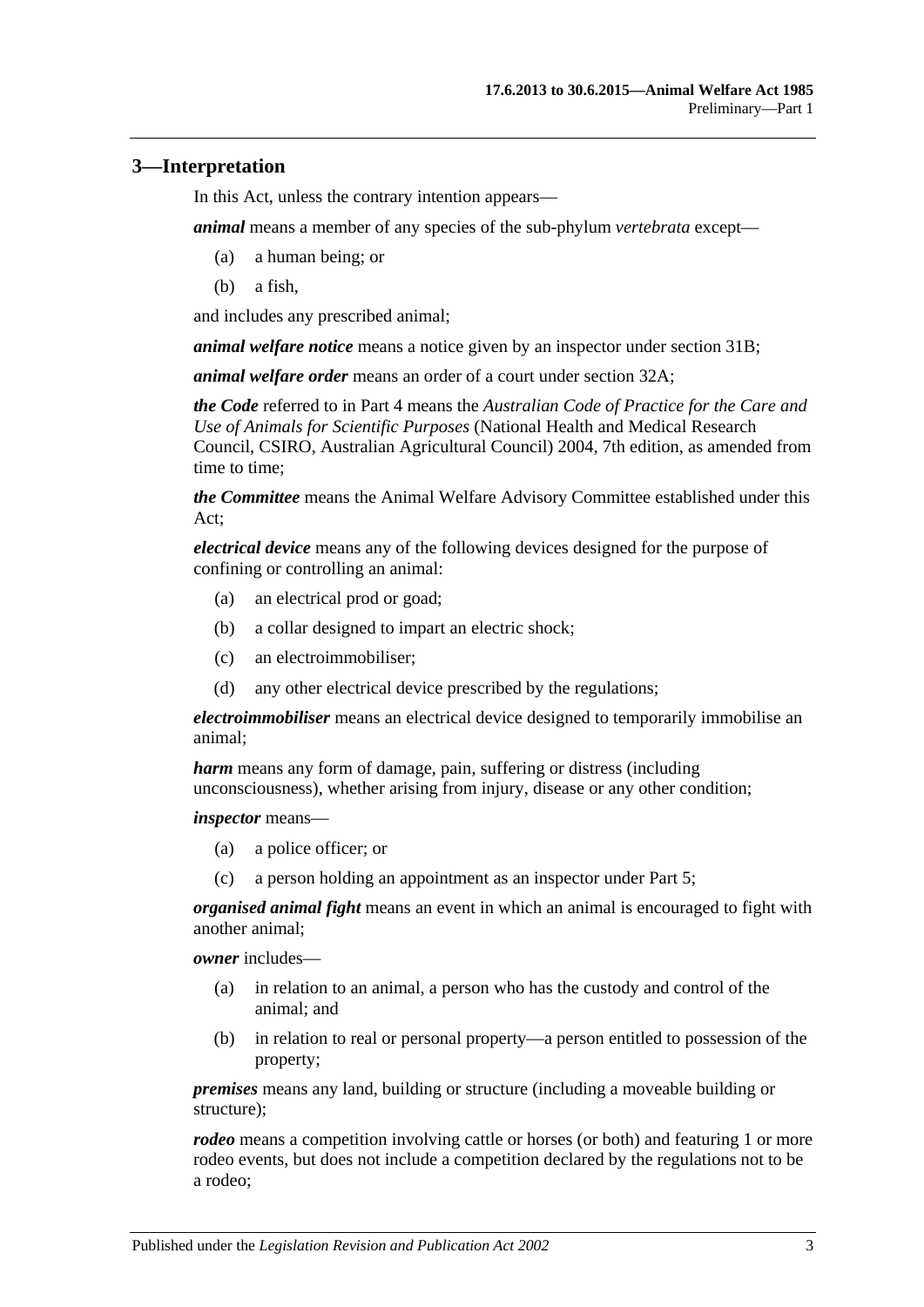## <span id="page-2-0"></span>**3—Interpretation**

In this Act, unless the contrary intention appears—

*animal* means a member of any species of the sub-phylum *vertebrata* except—

- (a) a human being; or
- (b) a fish,

and includes any prescribed animal;

*animal welfare notice* means a notice given by an inspector under [section](#page-17-0) 31B;

*animal welfare order* means an order of a court under [section](#page-19-1) 32A;

*the Code* referred to in [Part 4](#page-8-2) means the *Australian Code of Practice for the Care and Use of Animals for Scientific Purposes* (National Health and Medical Research Council, CSIRO, Australian Agricultural Council) 2004, 7th edition, as amended from time to time;

*the Committee* means the Animal Welfare Advisory Committee established under this Act;

*electrical device* means any of the following devices designed for the purpose of confining or controlling an animal:

- (a) an electrical prod or goad;
- (b) a collar designed to impart an electric shock;
- (c) an electroimmobiliser;
- (d) any other electrical device prescribed by the regulations;

*electroimmobiliser* means an electrical device designed to temporarily immobilise an animal;

*harm* means any form of damage, pain, suffering or distress (including unconsciousness), whether arising from injury, disease or any other condition;

*inspector* means—

- (a) a police officer; or
- (c) a person holding an appointment as an inspector under [Part 5;](#page-13-0)

*organised animal fight* means an event in which an animal is encouraged to fight with another animal;

*owner* includes—

- (a) in relation to an animal, a person who has the custody and control of the animal; and
- (b) in relation to real or personal property—a person entitled to possession of the property;

*premises* means any land, building or structure (including a moveable building or structure);

*rodeo* means a competition involving cattle or horses (or both) and featuring 1 or more rodeo events, but does not include a competition declared by the regulations not to be a rodeo;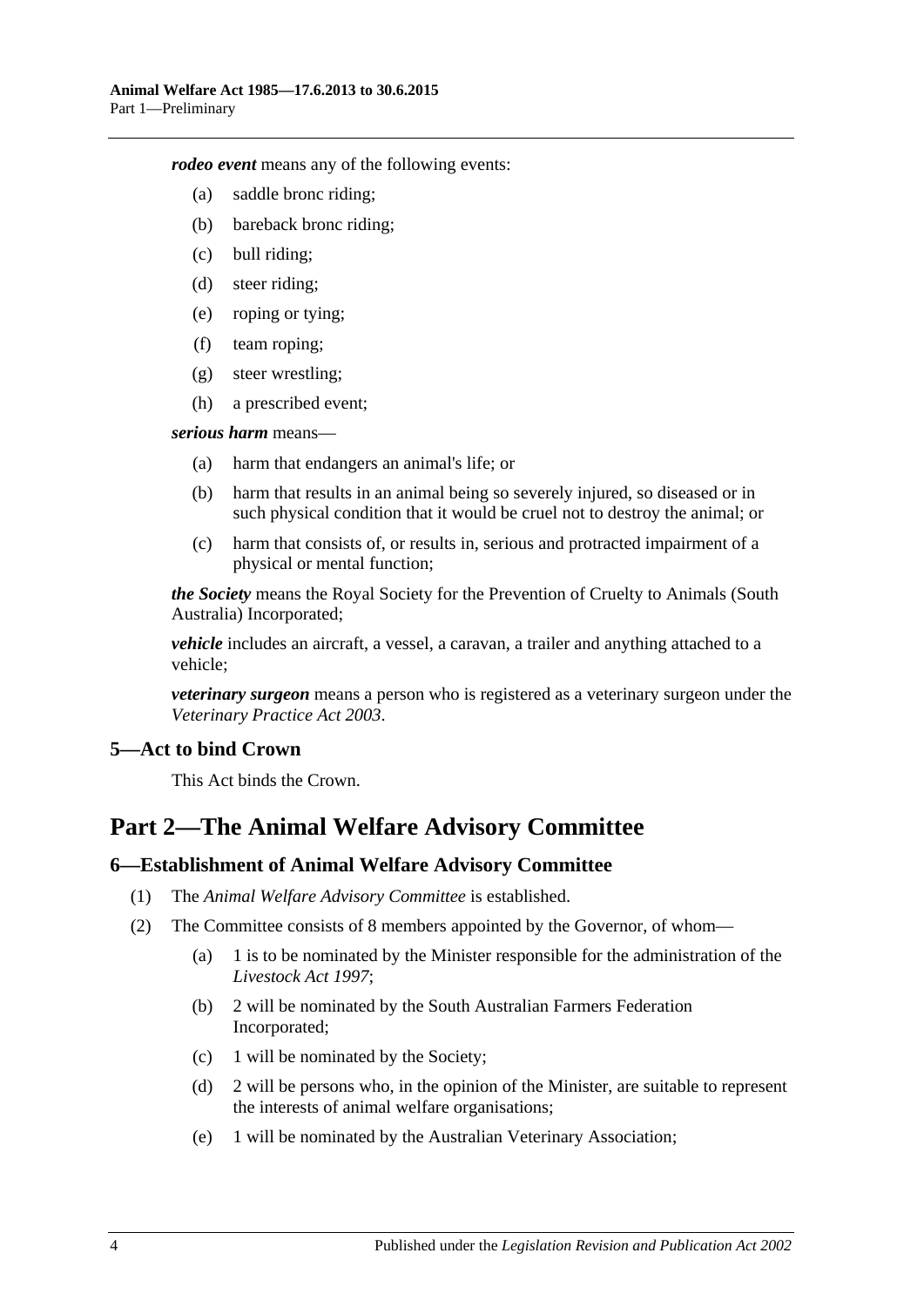*rodeo event* means any of the following events:

- (a) saddle bronc riding;
- (b) bareback bronc riding;
- (c) bull riding;
- (d) steer riding;
- (e) roping or tying;
- (f) team roping;
- (g) steer wrestling;
- (h) a prescribed event;

#### *serious harm* means—

- (a) harm that endangers an animal's life; or
- (b) harm that results in an animal being so severely injured, so diseased or in such physical condition that it would be cruel not to destroy the animal; or
- (c) harm that consists of, or results in, serious and protracted impairment of a physical or mental function;

*the Society* means the Royal Society for the Prevention of Cruelty to Animals (South Australia) Incorporated;

*vehicle* includes an aircraft, a vessel, a caravan, a trailer and anything attached to a vehicle;

*veterinary surgeon* means a person who is registered as a veterinary surgeon under the *[Veterinary Practice Act](http://www.legislation.sa.gov.au/index.aspx?action=legref&type=act&legtitle=Veterinary%20Practice%20Act%202003) 2003*.

## <span id="page-3-0"></span>**5—Act to bind Crown**

This Act binds the Crown.

# <span id="page-3-1"></span>**Part 2—The Animal Welfare Advisory Committee**

#### <span id="page-3-2"></span>**6—Establishment of Animal Welfare Advisory Committee**

- (1) The *Animal Welfare Advisory Committee* is established.
- (2) The Committee consists of 8 members appointed by the Governor, of whom—
	- (a) 1 is to be nominated by the Minister responsible for the administration of the *[Livestock Act](http://www.legislation.sa.gov.au/index.aspx?action=legref&type=act&legtitle=Livestock%20Act%201997) 1997*;
	- (b) 2 will be nominated by the South Australian Farmers Federation Incorporated;
	- (c) 1 will be nominated by the Society;
	- (d) 2 will be persons who, in the opinion of the Minister, are suitable to represent the interests of animal welfare organisations;
	- (e) 1 will be nominated by the Australian Veterinary Association;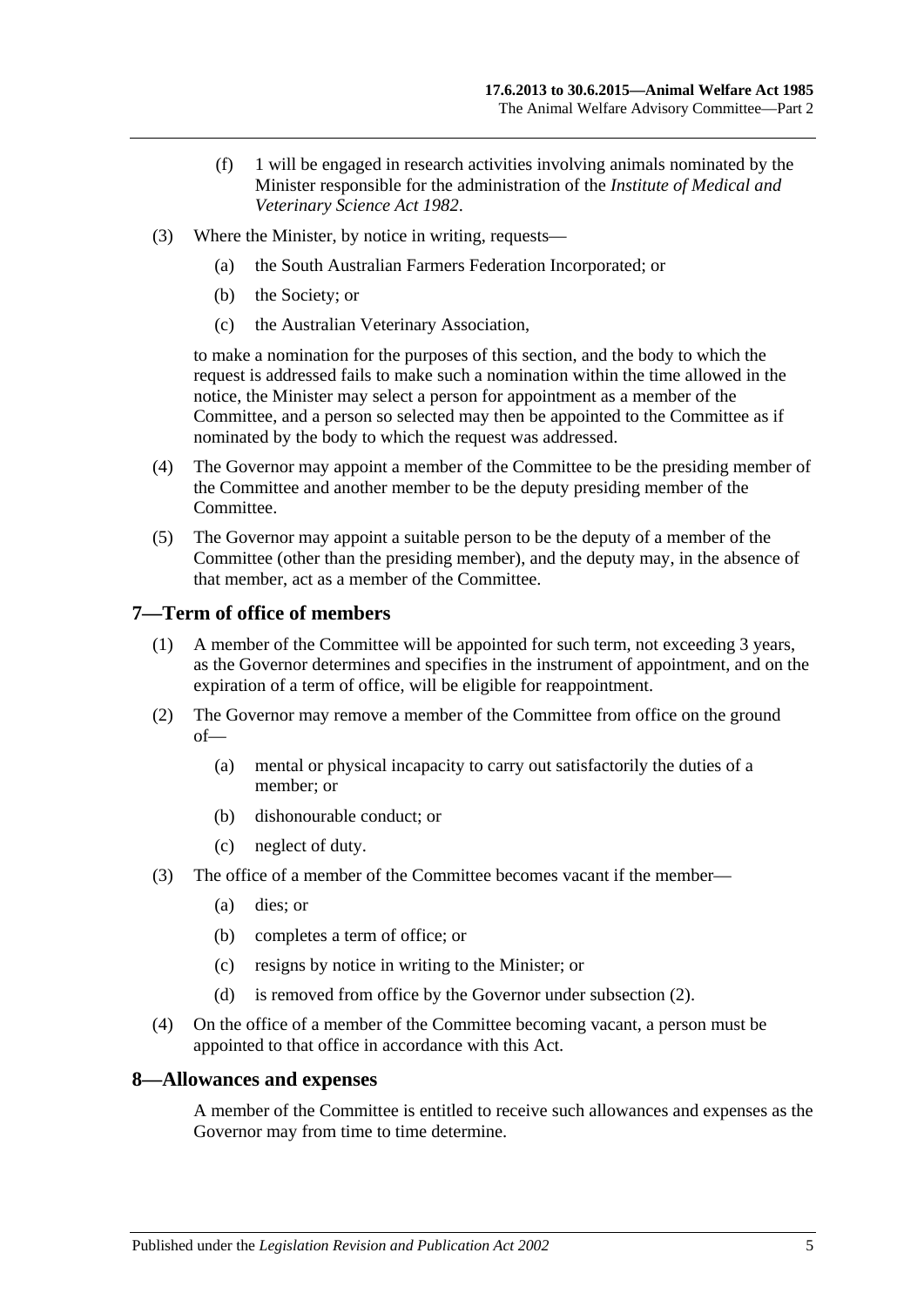- (f) 1 will be engaged in research activities involving animals nominated by the Minister responsible for the administration of the *[Institute of Medical and](http://www.legislation.sa.gov.au/index.aspx?action=legref&type=act&legtitle=Institute%20of%20Medical%20and%20Veterinary%20Science%20Act%201982)  [Veterinary Science Act](http://www.legislation.sa.gov.au/index.aspx?action=legref&type=act&legtitle=Institute%20of%20Medical%20and%20Veterinary%20Science%20Act%201982) 1982*.
- (3) Where the Minister, by notice in writing, requests—
	- (a) the South Australian Farmers Federation Incorporated; or
	- (b) the Society; or
	- (c) the Australian Veterinary Association,

to make a nomination for the purposes of this section, and the body to which the request is addressed fails to make such a nomination within the time allowed in the notice, the Minister may select a person for appointment as a member of the Committee, and a person so selected may then be appointed to the Committee as if nominated by the body to which the request was addressed.

- (4) The Governor may appoint a member of the Committee to be the presiding member of the Committee and another member to be the deputy presiding member of the Committee.
- (5) The Governor may appoint a suitable person to be the deputy of a member of the Committee (other than the presiding member), and the deputy may, in the absence of that member, act as a member of the Committee.

#### <span id="page-4-0"></span>**7—Term of office of members**

- (1) A member of the Committee will be appointed for such term, not exceeding 3 years, as the Governor determines and specifies in the instrument of appointment, and on the expiration of a term of office, will be eligible for reappointment.
- <span id="page-4-2"></span>(2) The Governor may remove a member of the Committee from office on the ground of—
	- (a) mental or physical incapacity to carry out satisfactorily the duties of a member; or
	- (b) dishonourable conduct; or
	- (c) neglect of duty.
- (3) The office of a member of the Committee becomes vacant if the member—
	- (a) dies; or
	- (b) completes a term of office; or
	- (c) resigns by notice in writing to the Minister; or
	- (d) is removed from office by the Governor under [subsection](#page-4-2) (2).
- (4) On the office of a member of the Committee becoming vacant, a person must be appointed to that office in accordance with this Act.

#### <span id="page-4-1"></span>**8—Allowances and expenses**

A member of the Committee is entitled to receive such allowances and expenses as the Governor may from time to time determine.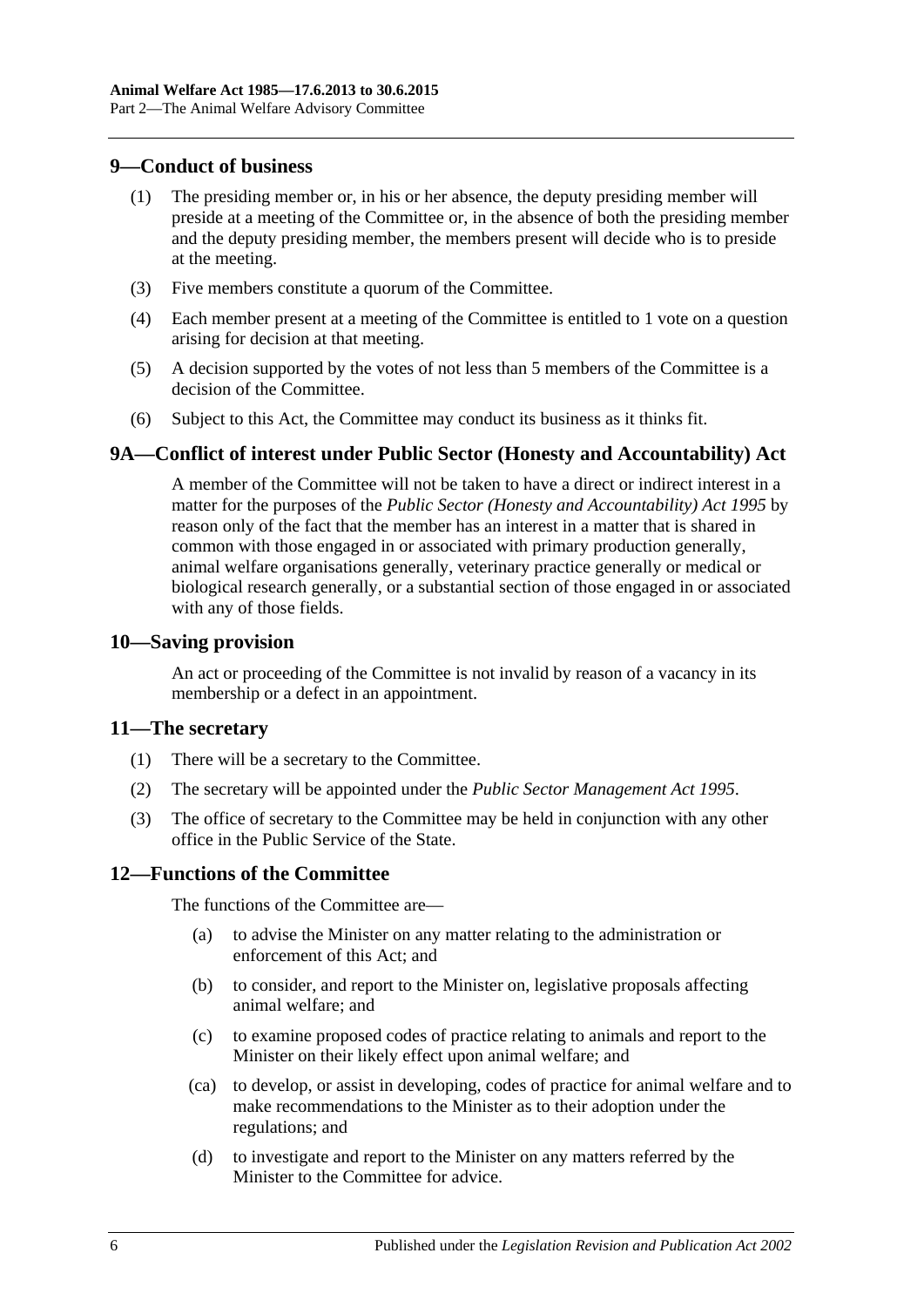#### <span id="page-5-0"></span>**9—Conduct of business**

- (1) The presiding member or, in his or her absence, the deputy presiding member will preside at a meeting of the Committee or, in the absence of both the presiding member and the deputy presiding member, the members present will decide who is to preside at the meeting.
- (3) Five members constitute a quorum of the Committee.
- (4) Each member present at a meeting of the Committee is entitled to 1 vote on a question arising for decision at that meeting.
- (5) A decision supported by the votes of not less than 5 members of the Committee is a decision of the Committee.
- (6) Subject to this Act, the Committee may conduct its business as it thinks fit.

## <span id="page-5-1"></span>**9A—Conflict of interest under Public Sector (Honesty and Accountability) Act**

A member of the Committee will not be taken to have a direct or indirect interest in a matter for the purposes of the *[Public Sector \(Honesty and Accountability\) Act](http://www.legislation.sa.gov.au/index.aspx?action=legref&type=act&legtitle=Public%20Sector%20(Honesty%20and%20Accountability)%20Act%201995) 1995* by reason only of the fact that the member has an interest in a matter that is shared in common with those engaged in or associated with primary production generally, animal welfare organisations generally, veterinary practice generally or medical or biological research generally, or a substantial section of those engaged in or associated with any of those fields.

#### <span id="page-5-2"></span>**10—Saving provision**

An act or proceeding of the Committee is not invalid by reason of a vacancy in its membership or a defect in an appointment.

#### <span id="page-5-3"></span>**11—The secretary**

- (1) There will be a secretary to the Committee.
- (2) The secretary will be appointed under the *[Public Sector Management Act](http://www.legislation.sa.gov.au/index.aspx?action=legref&type=act&legtitle=Public%20Sector%20Management%20Act%201995) 1995*.
- (3) The office of secretary to the Committee may be held in conjunction with any other office in the Public Service of the State.

## <span id="page-5-4"></span>**12—Functions of the Committee**

The functions of the Committee are—

- (a) to advise the Minister on any matter relating to the administration or enforcement of this Act; and
- (b) to consider, and report to the Minister on, legislative proposals affecting animal welfare; and
- (c) to examine proposed codes of practice relating to animals and report to the Minister on their likely effect upon animal welfare; and
- (ca) to develop, or assist in developing, codes of practice for animal welfare and to make recommendations to the Minister as to their adoption under the regulations; and
- (d) to investigate and report to the Minister on any matters referred by the Minister to the Committee for advice.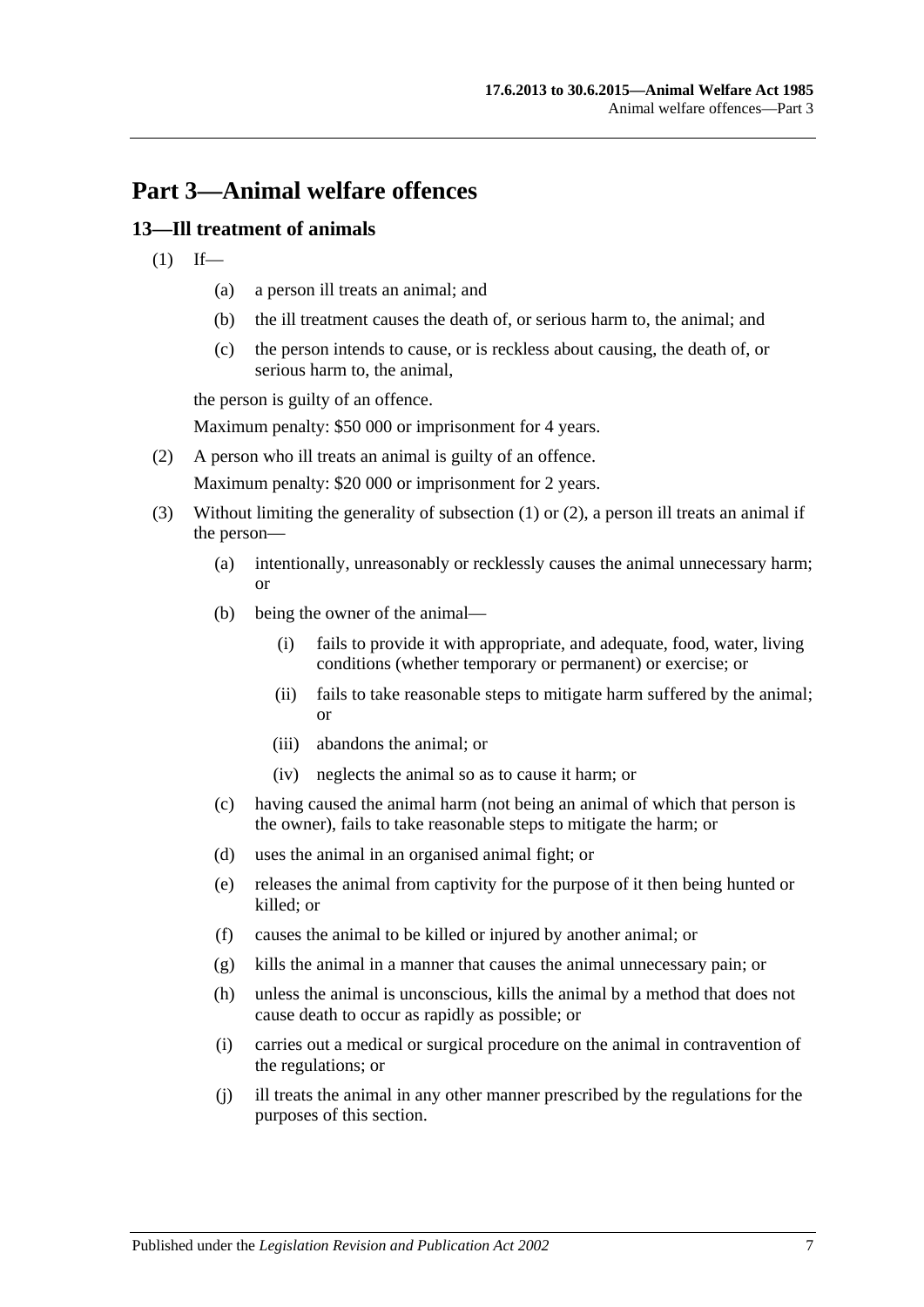# <span id="page-6-0"></span>**Part 3—Animal welfare offences**

## <span id="page-6-2"></span><span id="page-6-1"></span>**13—Ill treatment of animals**

- $(1)$  If—
	- (a) a person ill treats an animal; and
	- (b) the ill treatment causes the death of, or serious harm to, the animal; and
	- (c) the person intends to cause, or is reckless about causing, the death of, or serious harm to, the animal,

the person is guilty of an offence.

Maximum penalty: \$50 000 or imprisonment for 4 years.

<span id="page-6-3"></span>(2) A person who ill treats an animal is guilty of an offence.

Maximum penalty: \$20 000 or imprisonment for 2 years.

- (3) Without limiting the generality of [subsection](#page-6-2) (1) or [\(2\),](#page-6-3) a person ill treats an animal if the person—
	- (a) intentionally, unreasonably or recklessly causes the animal unnecessary harm; or
	- (b) being the owner of the animal—
		- (i) fails to provide it with appropriate, and adequate, food, water, living conditions (whether temporary or permanent) or exercise; or
		- (ii) fails to take reasonable steps to mitigate harm suffered by the animal; or
		- (iii) abandons the animal; or
		- (iv) neglects the animal so as to cause it harm; or
	- (c) having caused the animal harm (not being an animal of which that person is the owner), fails to take reasonable steps to mitigate the harm; or
	- (d) uses the animal in an organised animal fight; or
	- (e) releases the animal from captivity for the purpose of it then being hunted or killed; or
	- (f) causes the animal to be killed or injured by another animal; or
	- (g) kills the animal in a manner that causes the animal unnecessary pain; or
	- (h) unless the animal is unconscious, kills the animal by a method that does not cause death to occur as rapidly as possible; or
	- (i) carries out a medical or surgical procedure on the animal in contravention of the regulations; or
	- (j) ill treats the animal in any other manner prescribed by the regulations for the purposes of this section.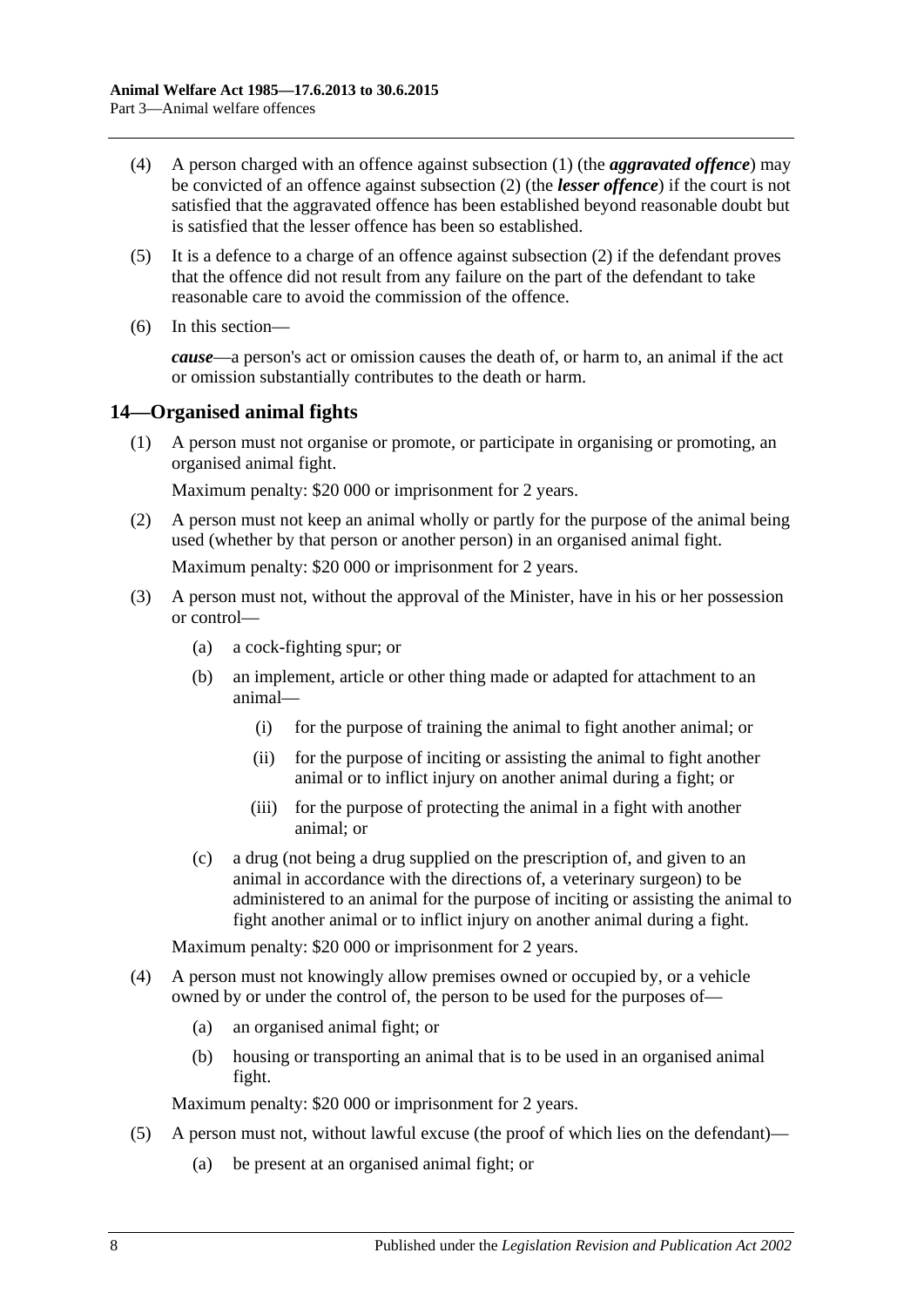- (4) A person charged with an offence against [subsection](#page-6-2) (1) (the *aggravated offence*) may be convicted of an offence against [subsection](#page-6-3) (2) (the *lesser offence*) if the court is not satisfied that the aggravated offence has been established beyond reasonable doubt but is satisfied that the lesser offence has been so established.
- (5) It is a defence to a charge of an offence against [subsection](#page-6-3) (2) if the defendant proves that the offence did not result from any failure on the part of the defendant to take reasonable care to avoid the commission of the offence.
- (6) In this section—

*cause*—a person's act or omission causes the death of, or harm to, an animal if the act or omission substantially contributes to the death or harm.

## <span id="page-7-1"></span><span id="page-7-0"></span>**14—Organised animal fights**

(1) A person must not organise or promote, or participate in organising or promoting, an organised animal fight.

Maximum penalty: \$20 000 or imprisonment for 2 years.

- <span id="page-7-2"></span>(2) A person must not keep an animal wholly or partly for the purpose of the animal being used (whether by that person or another person) in an organised animal fight. Maximum penalty: \$20 000 or imprisonment for 2 years.
- (3) A person must not, without the approval of the Minister, have in his or her possession or control—
	- (a) a cock-fighting spur; or
	- (b) an implement, article or other thing made or adapted for attachment to an animal—
		- (i) for the purpose of training the animal to fight another animal; or
		- (ii) for the purpose of inciting or assisting the animal to fight another animal or to inflict injury on another animal during a fight; or
		- (iii) for the purpose of protecting the animal in a fight with another animal; or
	- (c) a drug (not being a drug supplied on the prescription of, and given to an animal in accordance with the directions of, a veterinary surgeon) to be administered to an animal for the purpose of inciting or assisting the animal to fight another animal or to inflict injury on another animal during a fight.

Maximum penalty: \$20 000 or imprisonment for 2 years.

- <span id="page-7-3"></span>(4) A person must not knowingly allow premises owned or occupied by, or a vehicle owned by or under the control of, the person to be used for the purposes of—
	- (a) an organised animal fight; or
	- (b) housing or transporting an animal that is to be used in an organised animal fight.

Maximum penalty: \$20 000 or imprisonment for 2 years.

- (5) A person must not, without lawful excuse (the proof of which lies on the defendant)—
	- (a) be present at an organised animal fight; or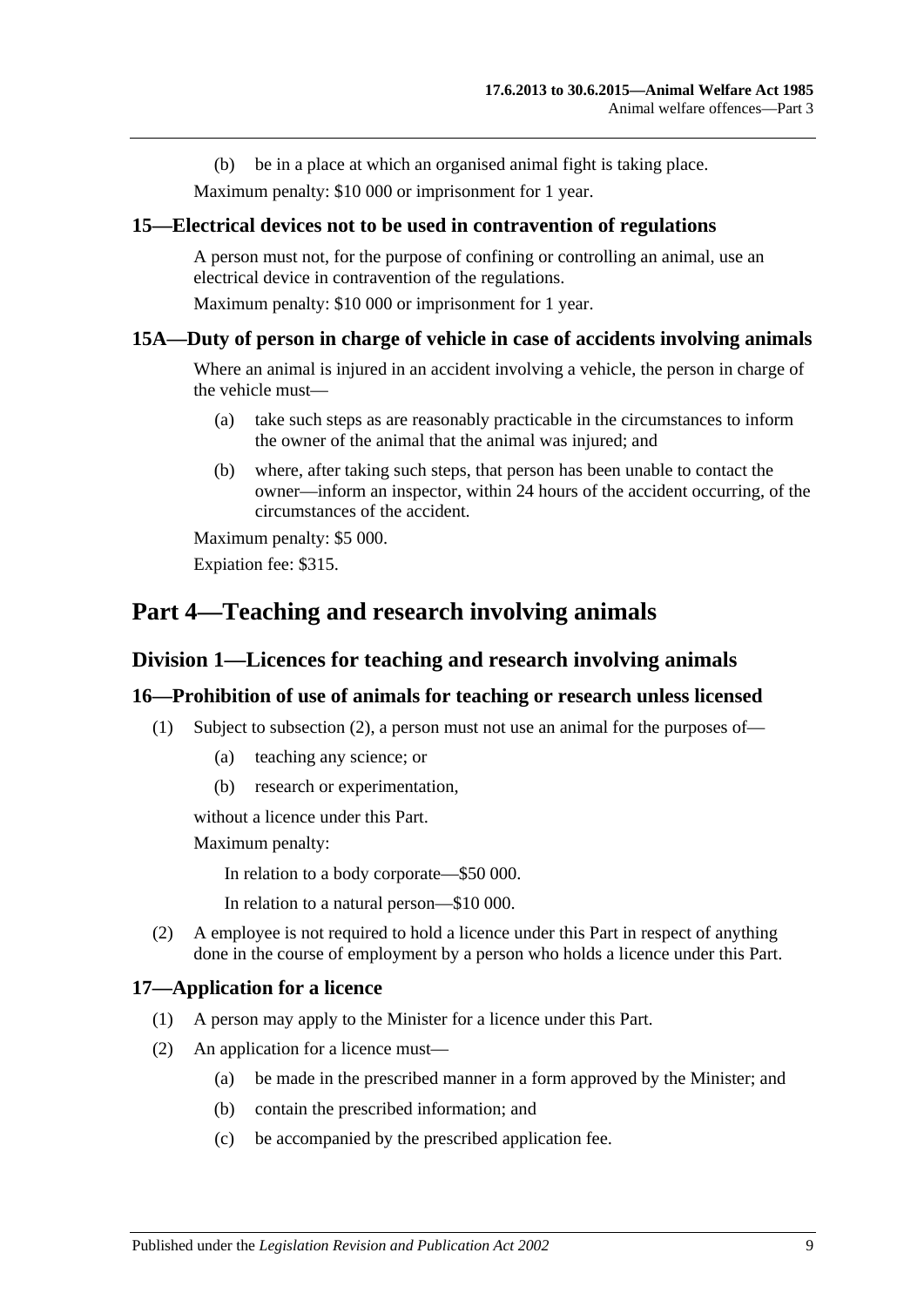(b) be in a place at which an organised animal fight is taking place.

Maximum penalty: \$10 000 or imprisonment for 1 year.

#### <span id="page-8-0"></span>**15—Electrical devices not to be used in contravention of regulations**

A person must not, for the purpose of confining or controlling an animal, use an electrical device in contravention of the regulations.

Maximum penalty: \$10 000 or imprisonment for 1 year.

#### <span id="page-8-1"></span>**15A—Duty of person in charge of vehicle in case of accidents involving animals**

Where an animal is injured in an accident involving a vehicle, the person in charge of the vehicle must—

- (a) take such steps as are reasonably practicable in the circumstances to inform the owner of the animal that the animal was injured; and
- (b) where, after taking such steps, that person has been unable to contact the owner—inform an inspector, within 24 hours of the accident occurring, of the circumstances of the accident.

Maximum penalty: \$5 000. Expiation fee: \$315.

# <span id="page-8-3"></span><span id="page-8-2"></span>**Part 4—Teaching and research involving animals**

#### **Division 1—Licences for teaching and research involving animals**

#### <span id="page-8-4"></span>**16—Prohibition of use of animals for teaching or research unless licensed**

- (1) Subject to [subsection](#page-8-6) (2), a person must not use an animal for the purposes of—
	- (a) teaching any science; or
	- (b) research or experimentation,

without a licence under this Part.

Maximum penalty:

In relation to a body corporate—\$50 000.

In relation to a natural person—\$10 000.

<span id="page-8-6"></span>(2) A employee is not required to hold a licence under this Part in respect of anything done in the course of employment by a person who holds a licence under this Part.

#### <span id="page-8-5"></span>**17—Application for a licence**

- (1) A person may apply to the Minister for a licence under this Part.
- (2) An application for a licence must—
	- (a) be made in the prescribed manner in a form approved by the Minister; and
	- (b) contain the prescribed information; and
	- (c) be accompanied by the prescribed application fee.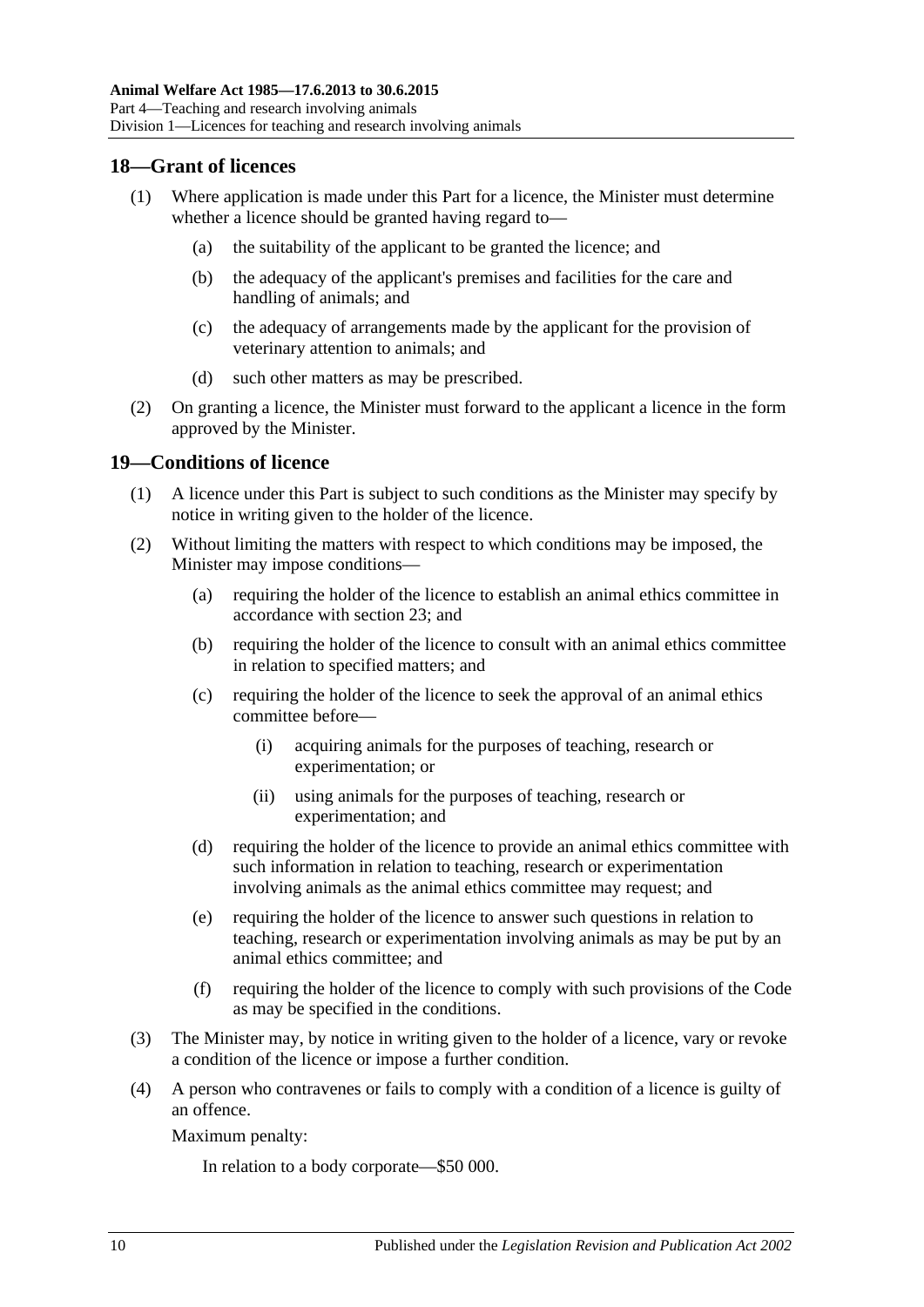#### <span id="page-9-0"></span>**18—Grant of licences**

- (1) Where application is made under this Part for a licence, the Minister must determine whether a licence should be granted having regard to—
	- (a) the suitability of the applicant to be granted the licence; and
	- (b) the adequacy of the applicant's premises and facilities for the care and handling of animals; and
	- (c) the adequacy of arrangements made by the applicant for the provision of veterinary attention to animals; and
	- (d) such other matters as may be prescribed.
- (2) On granting a licence, the Minister must forward to the applicant a licence in the form approved by the Minister.

#### <span id="page-9-1"></span>**19—Conditions of licence**

- (1) A licence under this Part is subject to such conditions as the Minister may specify by notice in writing given to the holder of the licence.
- (2) Without limiting the matters with respect to which conditions may be imposed, the Minister may impose conditions—
	- (a) requiring the holder of the licence to establish an animal ethics committee in accordance with [section](#page-10-4) 23; and
	- (b) requiring the holder of the licence to consult with an animal ethics committee in relation to specified matters; and
	- (c) requiring the holder of the licence to seek the approval of an animal ethics committee before—
		- (i) acquiring animals for the purposes of teaching, research or experimentation; or
		- (ii) using animals for the purposes of teaching, research or experimentation; and
	- (d) requiring the holder of the licence to provide an animal ethics committee with such information in relation to teaching, research or experimentation involving animals as the animal ethics committee may request; and
	- (e) requiring the holder of the licence to answer such questions in relation to teaching, research or experimentation involving animals as may be put by an animal ethics committee; and
	- (f) requiring the holder of the licence to comply with such provisions of the Code as may be specified in the conditions.
- (3) The Minister may, by notice in writing given to the holder of a licence, vary or revoke a condition of the licence or impose a further condition.
- (4) A person who contravenes or fails to comply with a condition of a licence is guilty of an offence.

Maximum penalty:

In relation to a body corporate—\$50 000.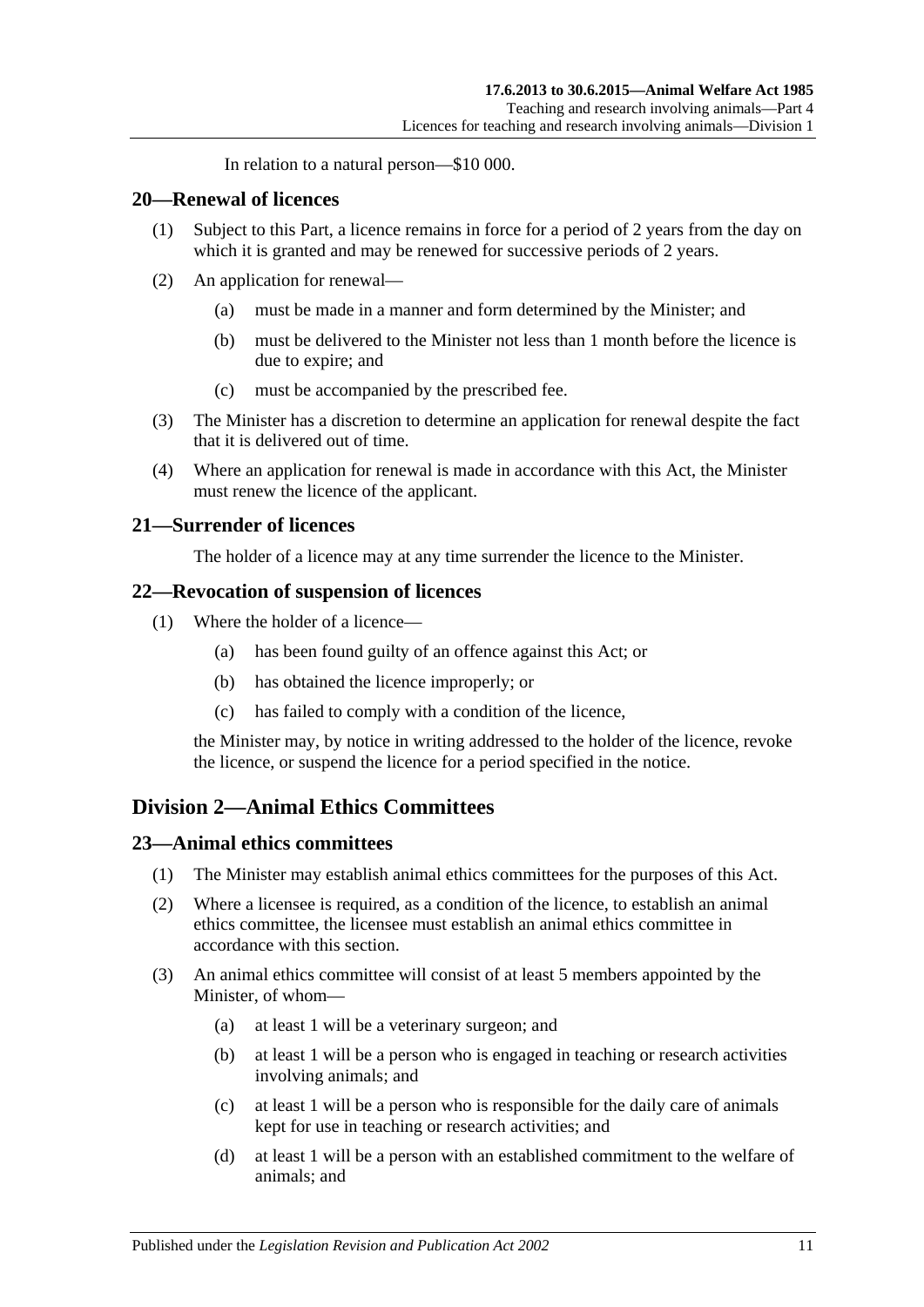In relation to a natural person—\$10 000.

#### <span id="page-10-0"></span>**20—Renewal of licences**

- (1) Subject to this Part, a licence remains in force for a period of 2 years from the day on which it is granted and may be renewed for successive periods of 2 years.
- (2) An application for renewal—
	- (a) must be made in a manner and form determined by the Minister; and
	- (b) must be delivered to the Minister not less than 1 month before the licence is due to expire; and
	- (c) must be accompanied by the prescribed fee.
- (3) The Minister has a discretion to determine an application for renewal despite the fact that it is delivered out of time.
- (4) Where an application for renewal is made in accordance with this Act, the Minister must renew the licence of the applicant.

#### <span id="page-10-1"></span>**21—Surrender of licences**

The holder of a licence may at any time surrender the licence to the Minister.

#### <span id="page-10-2"></span>**22—Revocation of suspension of licences**

- (1) Where the holder of a licence—
	- (a) has been found guilty of an offence against this Act; or
	- (b) has obtained the licence improperly; or
	- (c) has failed to comply with a condition of the licence,

the Minister may, by notice in writing addressed to the holder of the licence, revoke the licence, or suspend the licence for a period specified in the notice.

## <span id="page-10-3"></span>**Division 2—Animal Ethics Committees**

#### <span id="page-10-4"></span>**23—Animal ethics committees**

- (1) The Minister may establish animal ethics committees for the purposes of this Act.
- (2) Where a licensee is required, as a condition of the licence, to establish an animal ethics committee, the licensee must establish an animal ethics committee in accordance with this section.
- <span id="page-10-5"></span>(3) An animal ethics committee will consist of at least 5 members appointed by the Minister, of whom—
	- (a) at least 1 will be a veterinary surgeon; and
	- (b) at least 1 will be a person who is engaged in teaching or research activities involving animals; and
	- (c) at least 1 will be a person who is responsible for the daily care of animals kept for use in teaching or research activities; and
	- (d) at least 1 will be a person with an established commitment to the welfare of animals; and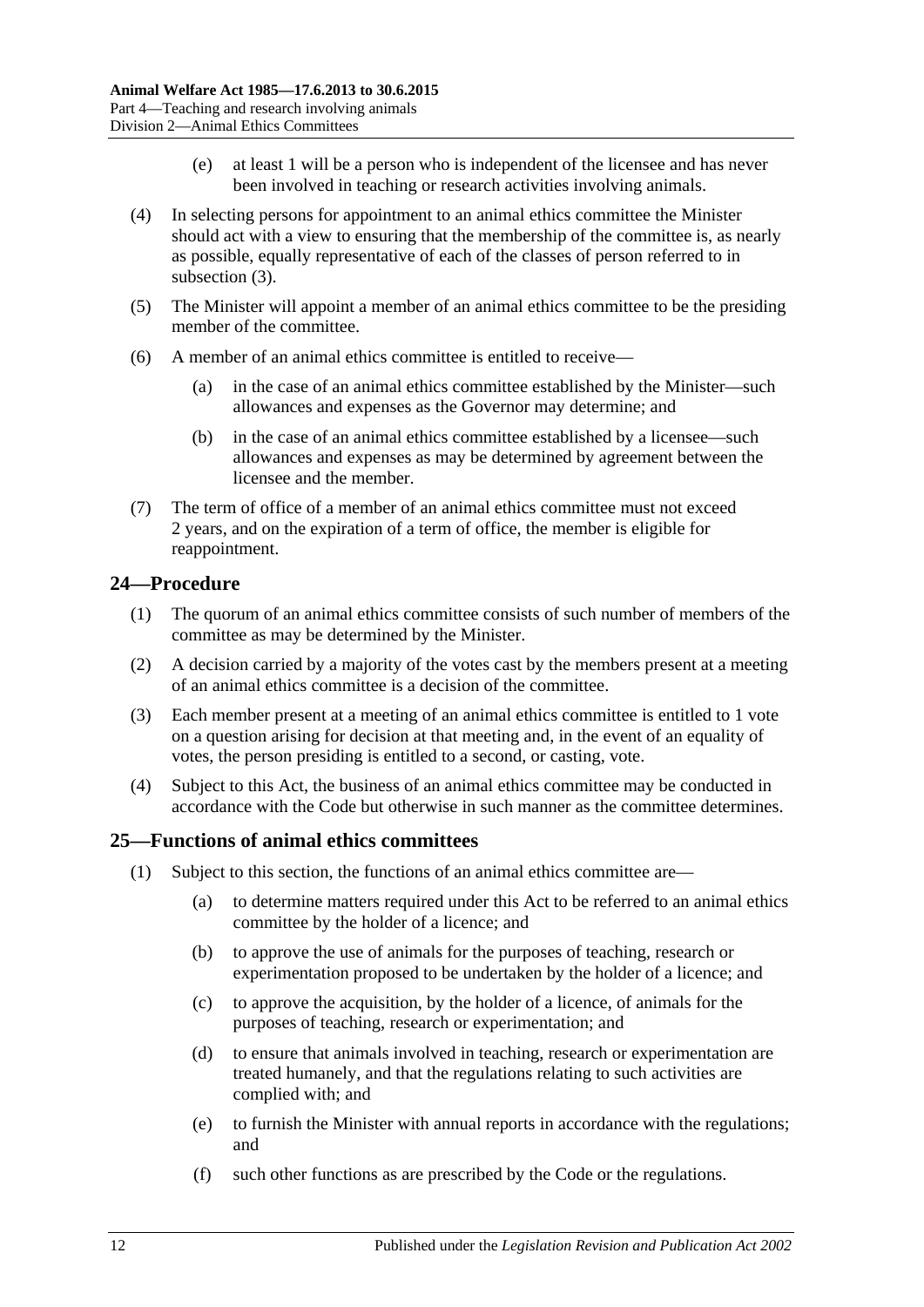- (e) at least 1 will be a person who is independent of the licensee and has never been involved in teaching or research activities involving animals.
- (4) In selecting persons for appointment to an animal ethics committee the Minister should act with a view to ensuring that the membership of the committee is, as nearly as possible, equally representative of each of the classes of person referred to in [subsection](#page-10-5) (3).
- (5) The Minister will appoint a member of an animal ethics committee to be the presiding member of the committee.
- (6) A member of an animal ethics committee is entitled to receive—
	- (a) in the case of an animal ethics committee established by the Minister—such allowances and expenses as the Governor may determine; and
	- (b) in the case of an animal ethics committee established by a licensee—such allowances and expenses as may be determined by agreement between the licensee and the member.
- (7) The term of office of a member of an animal ethics committee must not exceed 2 years, and on the expiration of a term of office, the member is eligible for reappointment.

## <span id="page-11-0"></span>**24—Procedure**

- (1) The quorum of an animal ethics committee consists of such number of members of the committee as may be determined by the Minister.
- (2) A decision carried by a majority of the votes cast by the members present at a meeting of an animal ethics committee is a decision of the committee.
- (3) Each member present at a meeting of an animal ethics committee is entitled to 1 vote on a question arising for decision at that meeting and, in the event of an equality of votes, the person presiding is entitled to a second, or casting, vote.
- (4) Subject to this Act, the business of an animal ethics committee may be conducted in accordance with the Code but otherwise in such manner as the committee determines.

## <span id="page-11-1"></span>**25—Functions of animal ethics committees**

- (1) Subject to this section, the functions of an animal ethics committee are—
	- (a) to determine matters required under this Act to be referred to an animal ethics committee by the holder of a licence; and
	- (b) to approve the use of animals for the purposes of teaching, research or experimentation proposed to be undertaken by the holder of a licence; and
	- (c) to approve the acquisition, by the holder of a licence, of animals for the purposes of teaching, research or experimentation; and
	- (d) to ensure that animals involved in teaching, research or experimentation are treated humanely, and that the regulations relating to such activities are complied with; and
	- (e) to furnish the Minister with annual reports in accordance with the regulations; and
	- (f) such other functions as are prescribed by the Code or the regulations.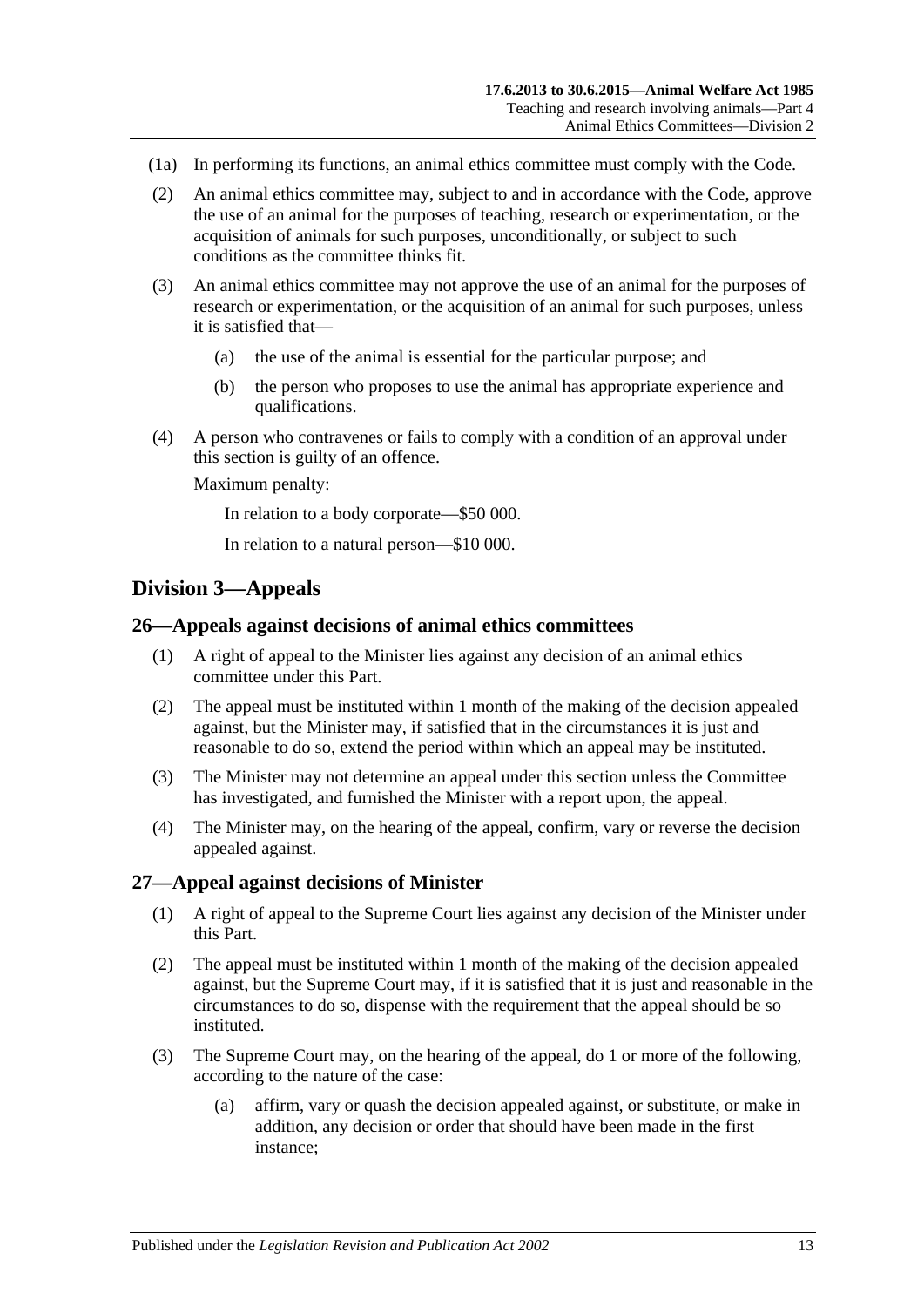- (1a) In performing its functions, an animal ethics committee must comply with the Code.
- (2) An animal ethics committee may, subject to and in accordance with the Code, approve the use of an animal for the purposes of teaching, research or experimentation, or the acquisition of animals for such purposes, unconditionally, or subject to such conditions as the committee thinks fit.
- (3) An animal ethics committee may not approve the use of an animal for the purposes of research or experimentation, or the acquisition of an animal for such purposes, unless it is satisfied that—
	- (a) the use of the animal is essential for the particular purpose; and
	- (b) the person who proposes to use the animal has appropriate experience and qualifications.
- (4) A person who contravenes or fails to comply with a condition of an approval under this section is guilty of an offence.

Maximum penalty:

In relation to a body corporate—\$50 000.

In relation to a natural person—\$10 000.

## <span id="page-12-0"></span>**Division 3—Appeals**

#### <span id="page-12-1"></span>**26—Appeals against decisions of animal ethics committees**

- (1) A right of appeal to the Minister lies against any decision of an animal ethics committee under this Part.
- (2) The appeal must be instituted within 1 month of the making of the decision appealed against, but the Minister may, if satisfied that in the circumstances it is just and reasonable to do so, extend the period within which an appeal may be instituted.
- (3) The Minister may not determine an appeal under this section unless the Committee has investigated, and furnished the Minister with a report upon, the appeal.
- (4) The Minister may, on the hearing of the appeal, confirm, vary or reverse the decision appealed against.

#### <span id="page-12-2"></span>**27—Appeal against decisions of Minister**

- (1) A right of appeal to the Supreme Court lies against any decision of the Minister under this Part.
- (2) The appeal must be instituted within 1 month of the making of the decision appealed against, but the Supreme Court may, if it is satisfied that it is just and reasonable in the circumstances to do so, dispense with the requirement that the appeal should be so instituted.
- (3) The Supreme Court may, on the hearing of the appeal, do 1 or more of the following, according to the nature of the case:
	- (a) affirm, vary or quash the decision appealed against, or substitute, or make in addition, any decision or order that should have been made in the first instance;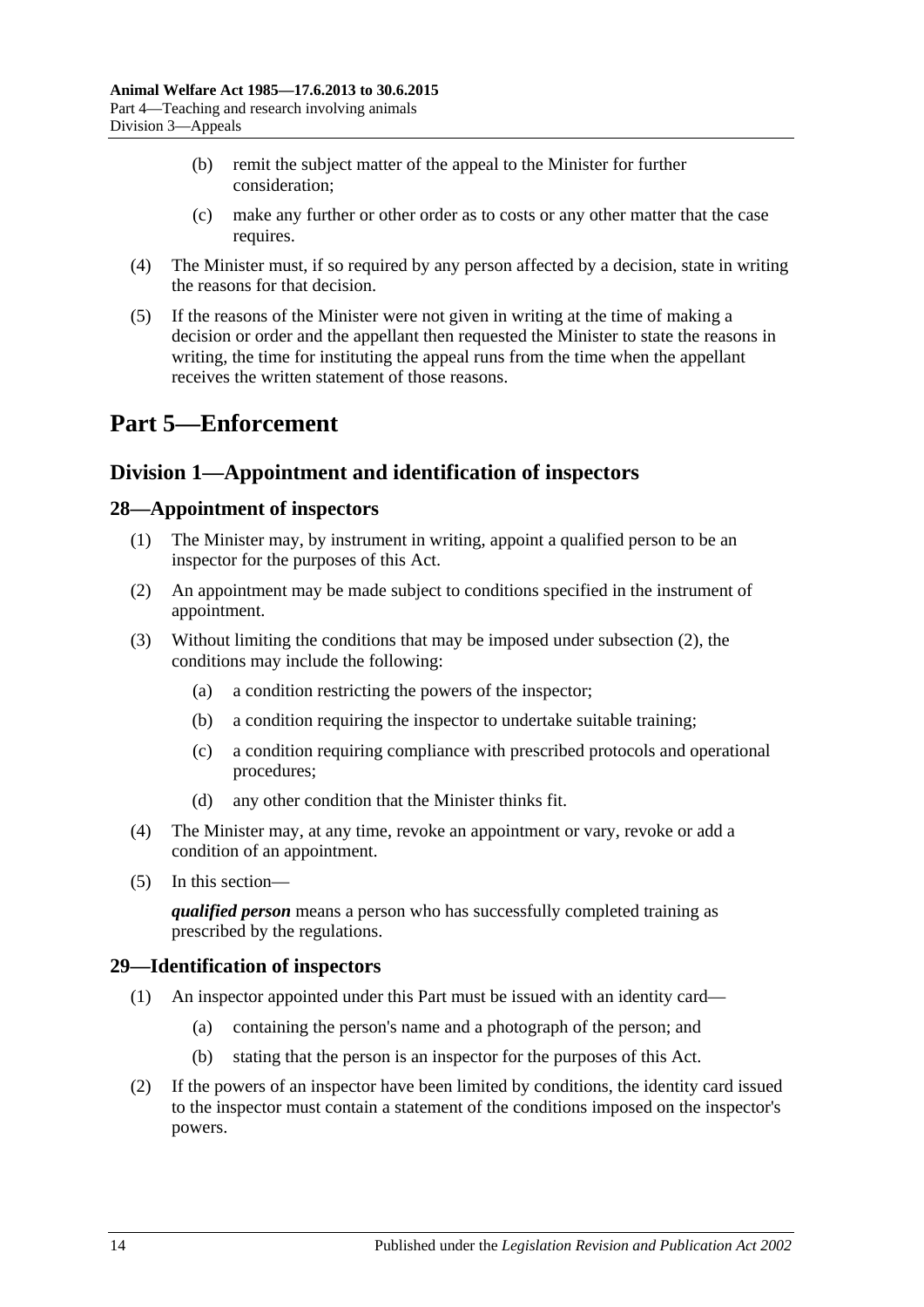- (b) remit the subject matter of the appeal to the Minister for further consideration;
- (c) make any further or other order as to costs or any other matter that the case requires.
- (4) The Minister must, if so required by any person affected by a decision, state in writing the reasons for that decision.
- (5) If the reasons of the Minister were not given in writing at the time of making a decision or order and the appellant then requested the Minister to state the reasons in writing, the time for instituting the appeal runs from the time when the appellant receives the written statement of those reasons.

# <span id="page-13-0"></span>**Part 5—Enforcement**

## <span id="page-13-1"></span>**Division 1—Appointment and identification of inspectors**

## <span id="page-13-2"></span>**28—Appointment of inspectors**

- (1) The Minister may, by instrument in writing, appoint a qualified person to be an inspector for the purposes of this Act.
- <span id="page-13-4"></span>(2) An appointment may be made subject to conditions specified in the instrument of appointment.
- (3) Without limiting the conditions that may be imposed under [subsection](#page-13-4) (2), the conditions may include the following:
	- (a) a condition restricting the powers of the inspector;
	- (b) a condition requiring the inspector to undertake suitable training;
	- (c) a condition requiring compliance with prescribed protocols and operational procedures;
	- (d) any other condition that the Minister thinks fit.
- (4) The Minister may, at any time, revoke an appointment or vary, revoke or add a condition of an appointment.
- (5) In this section—

*qualified person* means a person who has successfully completed training as prescribed by the regulations.

## <span id="page-13-3"></span>**29—Identification of inspectors**

- (1) An inspector appointed under this Part must be issued with an identity card—
	- (a) containing the person's name and a photograph of the person; and
	- (b) stating that the person is an inspector for the purposes of this Act.
- (2) If the powers of an inspector have been limited by conditions, the identity card issued to the inspector must contain a statement of the conditions imposed on the inspector's powers.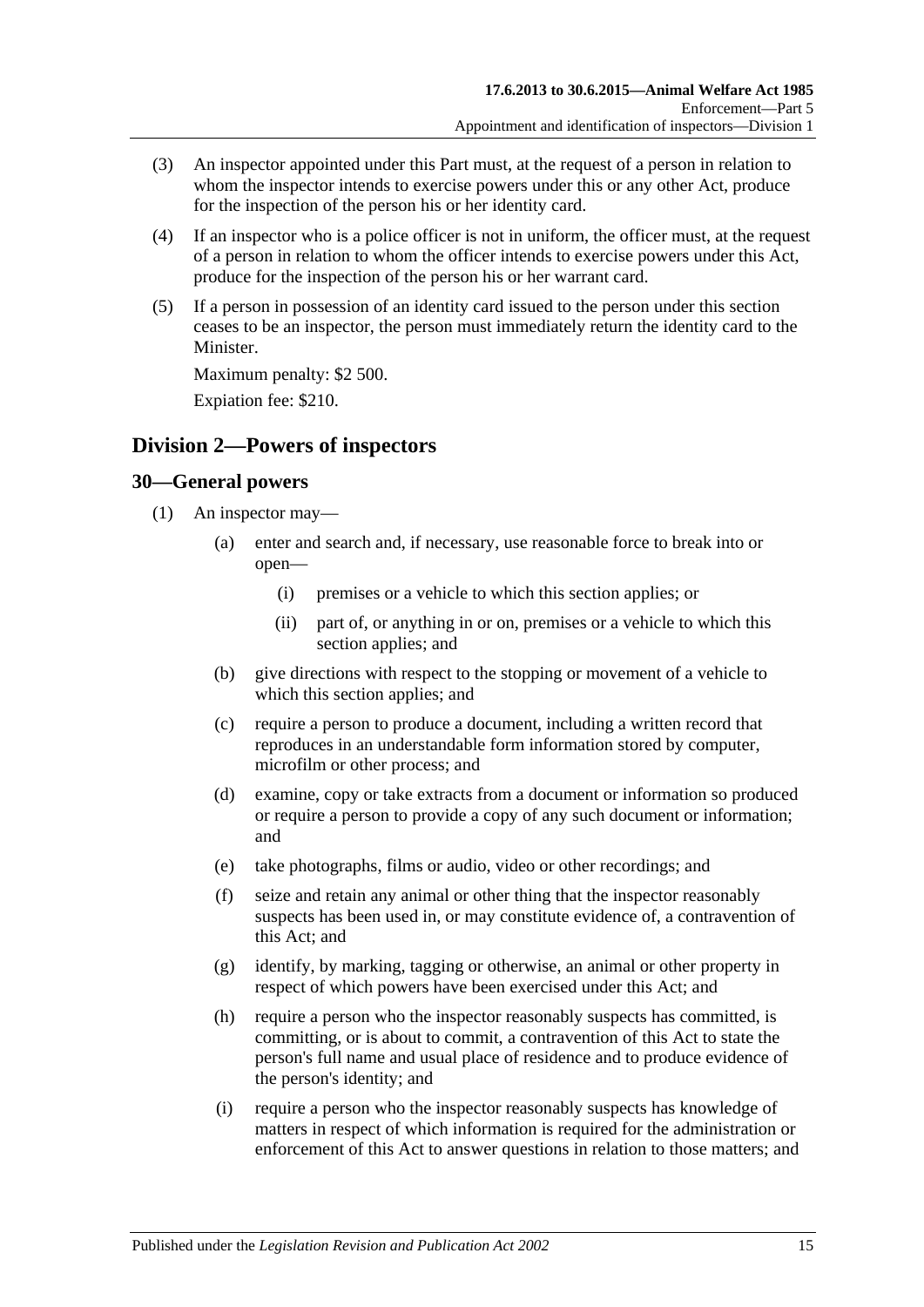- (3) An inspector appointed under this Part must, at the request of a person in relation to whom the inspector intends to exercise powers under this or any other Act, produce for the inspection of the person his or her identity card.
- (4) If an inspector who is a police officer is not in uniform, the officer must, at the request of a person in relation to whom the officer intends to exercise powers under this Act, produce for the inspection of the person his or her warrant card.
- (5) If a person in possession of an identity card issued to the person under this section ceases to be an inspector, the person must immediately return the identity card to the Minister.

Maximum penalty: \$2 500.

Expiation fee: \$210.

## <span id="page-14-0"></span>**Division 2—Powers of inspectors**

#### <span id="page-14-2"></span><span id="page-14-1"></span>**30—General powers**

- <span id="page-14-3"></span>(1) An inspector may—
	- (a) enter and search and, if necessary, use reasonable force to break into or open—
		- (i) premises or a vehicle to which this section applies; or
		- (ii) part of, or anything in or on, premises or a vehicle to which this section applies; and
	- (b) give directions with respect to the stopping or movement of a vehicle to which this section applies; and
	- (c) require a person to produce a document, including a written record that reproduces in an understandable form information stored by computer, microfilm or other process; and
	- (d) examine, copy or take extracts from a document or information so produced or require a person to provide a copy of any such document or information; and
	- (e) take photographs, films or audio, video or other recordings; and
	- (f) seize and retain any animal or other thing that the inspector reasonably suspects has been used in, or may constitute evidence of, a contravention of this Act; and
	- (g) identify, by marking, tagging or otherwise, an animal or other property in respect of which powers have been exercised under this Act; and
	- (h) require a person who the inspector reasonably suspects has committed, is committing, or is about to commit, a contravention of this Act to state the person's full name and usual place of residence and to produce evidence of the person's identity; and
	- (i) require a person who the inspector reasonably suspects has knowledge of matters in respect of which information is required for the administration or enforcement of this Act to answer questions in relation to those matters; and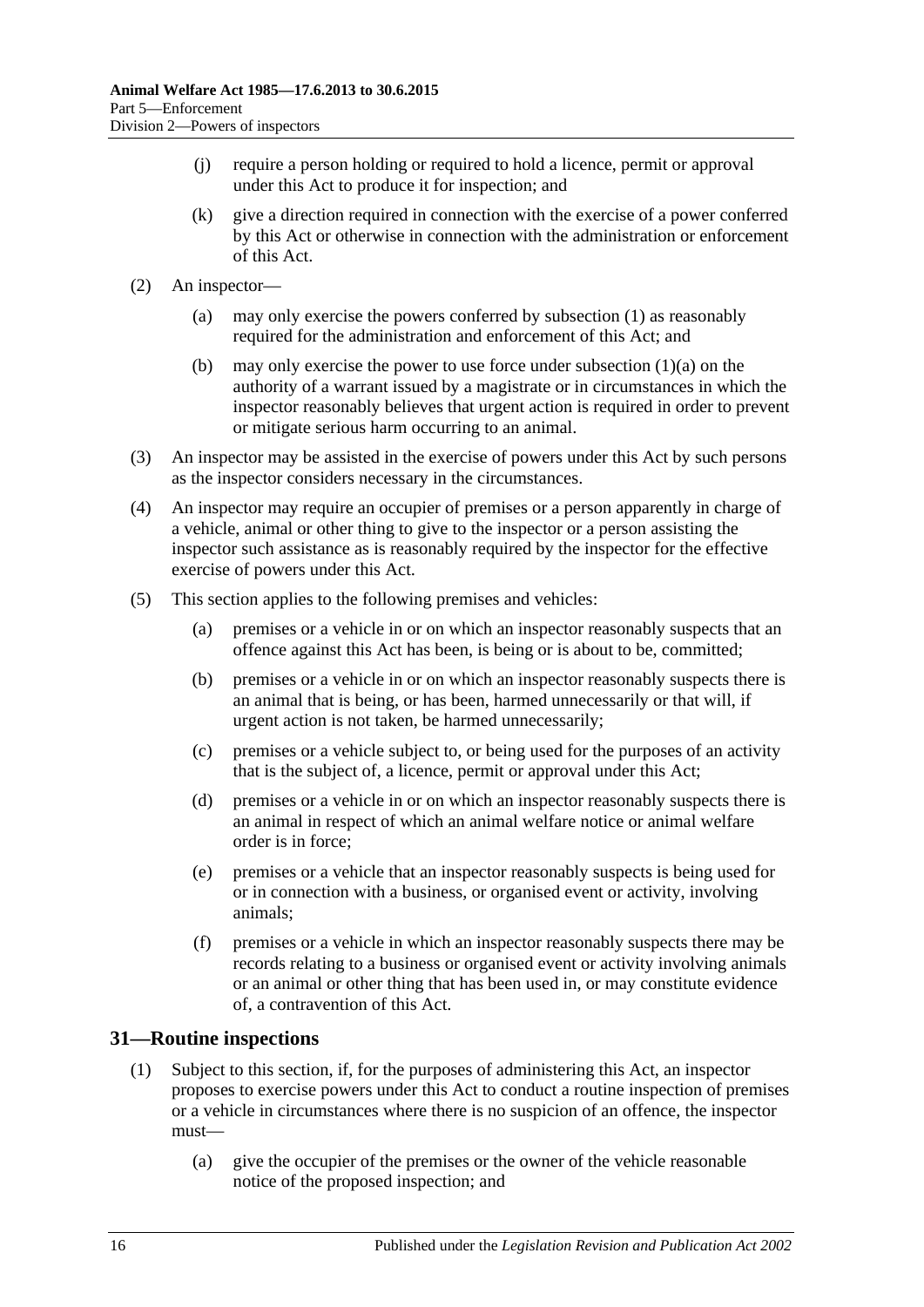- (j) require a person holding or required to hold a licence, permit or approval under this Act to produce it for inspection; and
- (k) give a direction required in connection with the exercise of a power conferred by this Act or otherwise in connection with the administration or enforcement of this Act.
- (2) An inspector—
	- (a) may only exercise the powers conferred by [subsection](#page-14-2) (1) as reasonably required for the administration and enforcement of this Act; and
	- (b) may only exercise the power to use force under [subsection](#page-14-3)  $(1)(a)$  on the authority of a warrant issued by a magistrate or in circumstances in which the inspector reasonably believes that urgent action is required in order to prevent or mitigate serious harm occurring to an animal.
- (3) An inspector may be assisted in the exercise of powers under this Act by such persons as the inspector considers necessary in the circumstances.
- (4) An inspector may require an occupier of premises or a person apparently in charge of a vehicle, animal or other thing to give to the inspector or a person assisting the inspector such assistance as is reasonably required by the inspector for the effective exercise of powers under this Act.
- (5) This section applies to the following premises and vehicles:
	- (a) premises or a vehicle in or on which an inspector reasonably suspects that an offence against this Act has been, is being or is about to be, committed;
	- (b) premises or a vehicle in or on which an inspector reasonably suspects there is an animal that is being, or has been, harmed unnecessarily or that will, if urgent action is not taken, be harmed unnecessarily;
	- (c) premises or a vehicle subject to, or being used for the purposes of an activity that is the subject of, a licence, permit or approval under this Act;
	- (d) premises or a vehicle in or on which an inspector reasonably suspects there is an animal in respect of which an animal welfare notice or animal welfare order is in force;
	- (e) premises or a vehicle that an inspector reasonably suspects is being used for or in connection with a business, or organised event or activity, involving animals;
	- (f) premises or a vehicle in which an inspector reasonably suspects there may be records relating to a business or organised event or activity involving animals or an animal or other thing that has been used in, or may constitute evidence of, a contravention of this Act.

## <span id="page-15-0"></span>**31—Routine inspections**

- (1) Subject to this section, if, for the purposes of administering this Act, an inspector proposes to exercise powers under this Act to conduct a routine inspection of premises or a vehicle in circumstances where there is no suspicion of an offence, the inspector must—
	- (a) give the occupier of the premises or the owner of the vehicle reasonable notice of the proposed inspection; and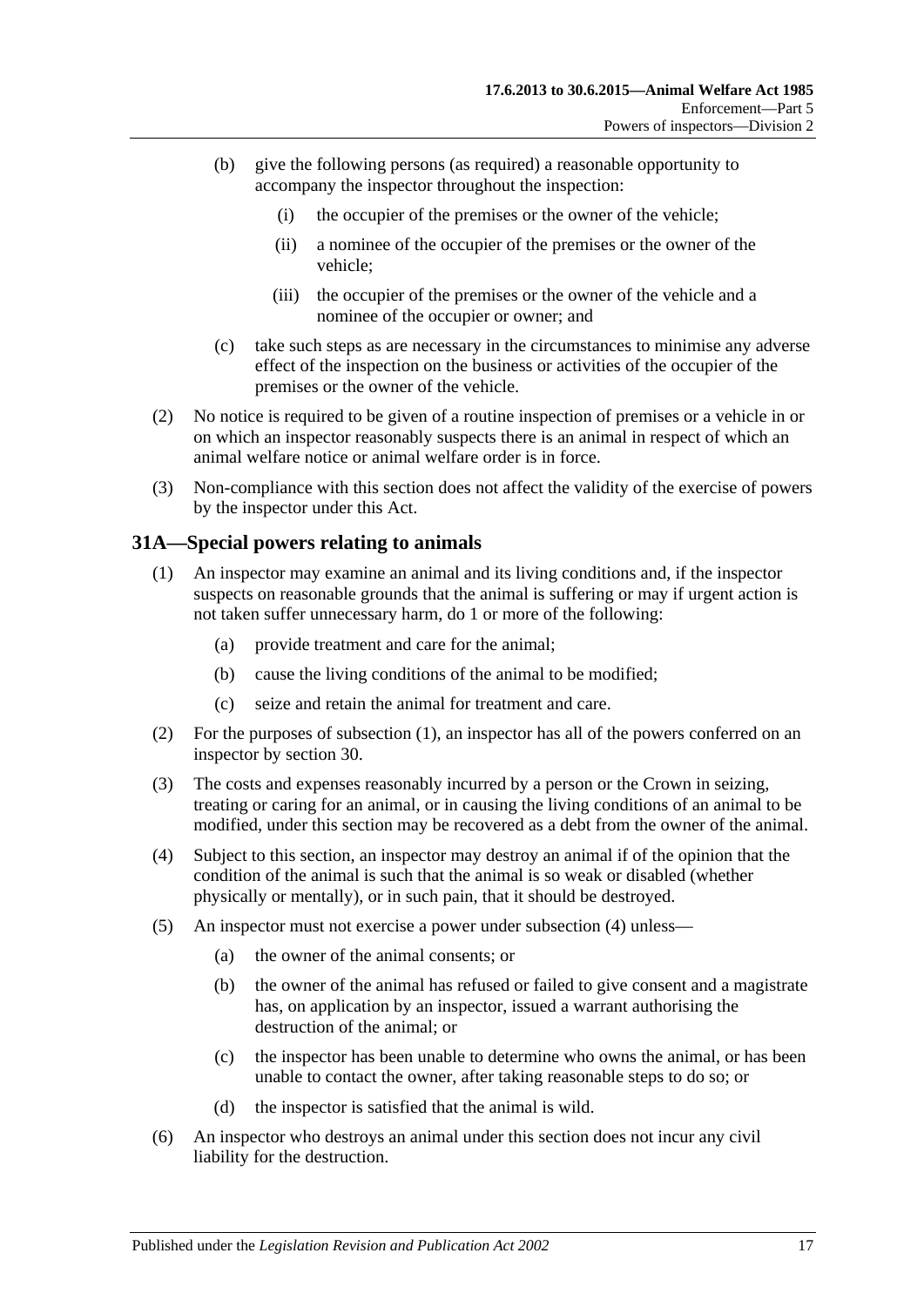- (b) give the following persons (as required) a reasonable opportunity to accompany the inspector throughout the inspection:
	- (i) the occupier of the premises or the owner of the vehicle;
	- (ii) a nominee of the occupier of the premises or the owner of the vehicle;
	- (iii) the occupier of the premises or the owner of the vehicle and a nominee of the occupier or owner; and
- (c) take such steps as are necessary in the circumstances to minimise any adverse effect of the inspection on the business or activities of the occupier of the premises or the owner of the vehicle.
- (2) No notice is required to be given of a routine inspection of premises or a vehicle in or on which an inspector reasonably suspects there is an animal in respect of which an animal welfare notice or animal welfare order is in force.
- (3) Non-compliance with this section does not affect the validity of the exercise of powers by the inspector under this Act.

#### <span id="page-16-1"></span><span id="page-16-0"></span>**31A—Special powers relating to animals**

- (1) An inspector may examine an animal and its living conditions and, if the inspector suspects on reasonable grounds that the animal is suffering or may if urgent action is not taken suffer unnecessary harm, do 1 or more of the following:
	- (a) provide treatment and care for the animal;
	- (b) cause the living conditions of the animal to be modified;
	- (c) seize and retain the animal for treatment and care.
- (2) For the purposes of [subsection](#page-16-1) (1), an inspector has all of the powers conferred on an inspector by [section](#page-14-1) 30.
- (3) The costs and expenses reasonably incurred by a person or the Crown in seizing, treating or caring for an animal, or in causing the living conditions of an animal to be modified, under this section may be recovered as a debt from the owner of the animal.
- <span id="page-16-2"></span>(4) Subject to this section, an inspector may destroy an animal if of the opinion that the condition of the animal is such that the animal is so weak or disabled (whether physically or mentally), or in such pain, that it should be destroyed.
- (5) An inspector must not exercise a power under [subsection](#page-16-2) (4) unless—
	- (a) the owner of the animal consents; or
	- (b) the owner of the animal has refused or failed to give consent and a magistrate has, on application by an inspector, issued a warrant authorising the destruction of the animal; or
	- (c) the inspector has been unable to determine who owns the animal, or has been unable to contact the owner, after taking reasonable steps to do so; or
	- (d) the inspector is satisfied that the animal is wild.
- (6) An inspector who destroys an animal under this section does not incur any civil liability for the destruction.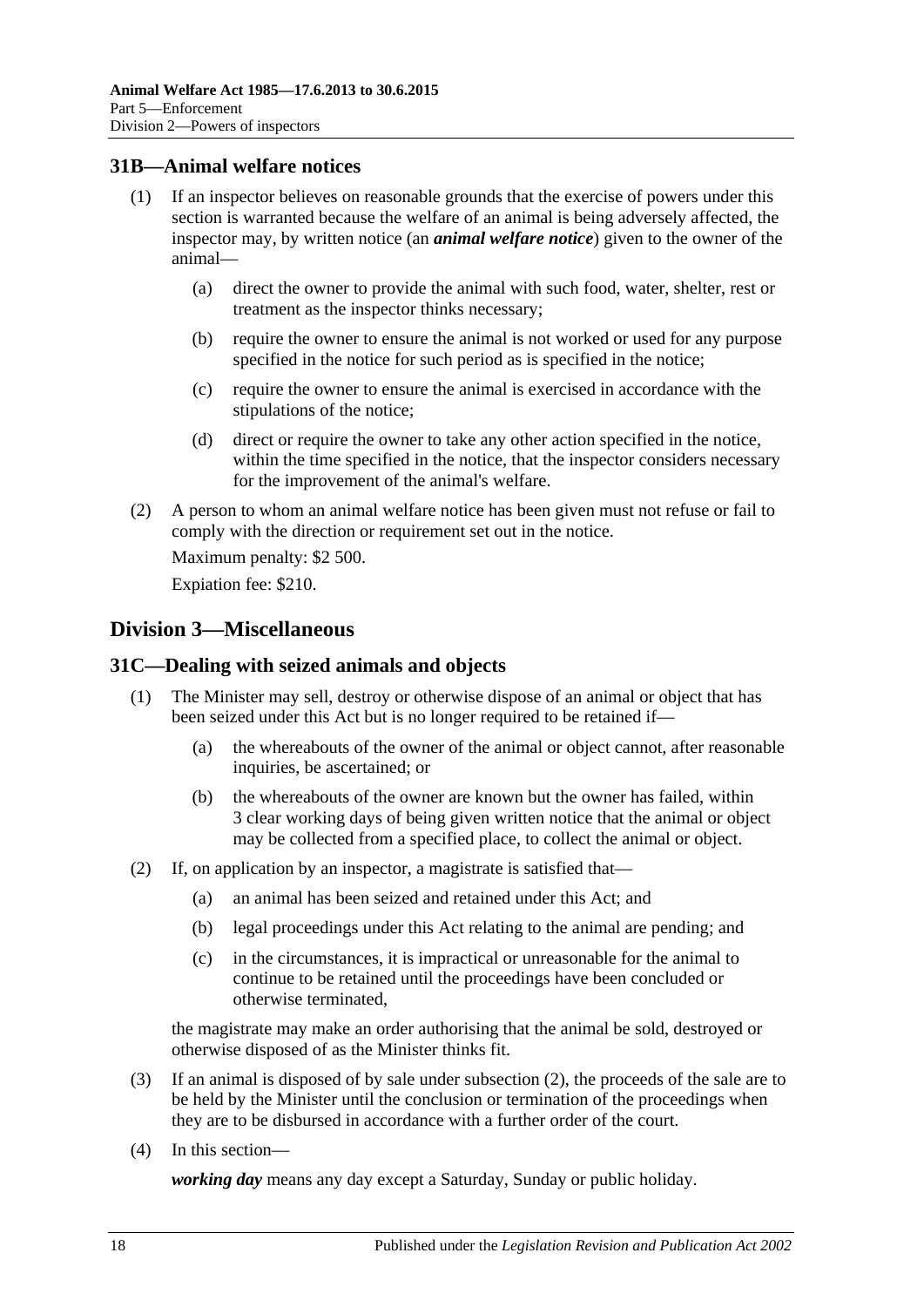## <span id="page-17-0"></span>**31B—Animal welfare notices**

- (1) If an inspector believes on reasonable grounds that the exercise of powers under this section is warranted because the welfare of an animal is being adversely affected, the inspector may, by written notice (an *animal welfare notice*) given to the owner of the animal—
	- (a) direct the owner to provide the animal with such food, water, shelter, rest or treatment as the inspector thinks necessary;
	- (b) require the owner to ensure the animal is not worked or used for any purpose specified in the notice for such period as is specified in the notice;
	- (c) require the owner to ensure the animal is exercised in accordance with the stipulations of the notice;
	- (d) direct or require the owner to take any other action specified in the notice, within the time specified in the notice, that the inspector considers necessary for the improvement of the animal's welfare.
- (2) A person to whom an animal welfare notice has been given must not refuse or fail to comply with the direction or requirement set out in the notice.

Maximum penalty: \$2 500.

Expiation fee: \$210.

## <span id="page-17-1"></span>**Division 3—Miscellaneous**

## <span id="page-17-2"></span>**31C—Dealing with seized animals and objects**

- (1) The Minister may sell, destroy or otherwise dispose of an animal or object that has been seized under this Act but is no longer required to be retained if—
	- (a) the whereabouts of the owner of the animal or object cannot, after reasonable inquiries, be ascertained; or
	- (b) the whereabouts of the owner are known but the owner has failed, within 3 clear working days of being given written notice that the animal or object may be collected from a specified place, to collect the animal or object.
- <span id="page-17-3"></span>(2) If, on application by an inspector, a magistrate is satisfied that—
	- (a) an animal has been seized and retained under this Act; and
	- (b) legal proceedings under this Act relating to the animal are pending; and
	- (c) in the circumstances, it is impractical or unreasonable for the animal to continue to be retained until the proceedings have been concluded or otherwise terminated,

the magistrate may make an order authorising that the animal be sold, destroyed or otherwise disposed of as the Minister thinks fit.

- (3) If an animal is disposed of by sale under [subsection](#page-17-3) (2), the proceeds of the sale are to be held by the Minister until the conclusion or termination of the proceedings when they are to be disbursed in accordance with a further order of the court.
- (4) In this section—

*working day* means any day except a Saturday, Sunday or public holiday.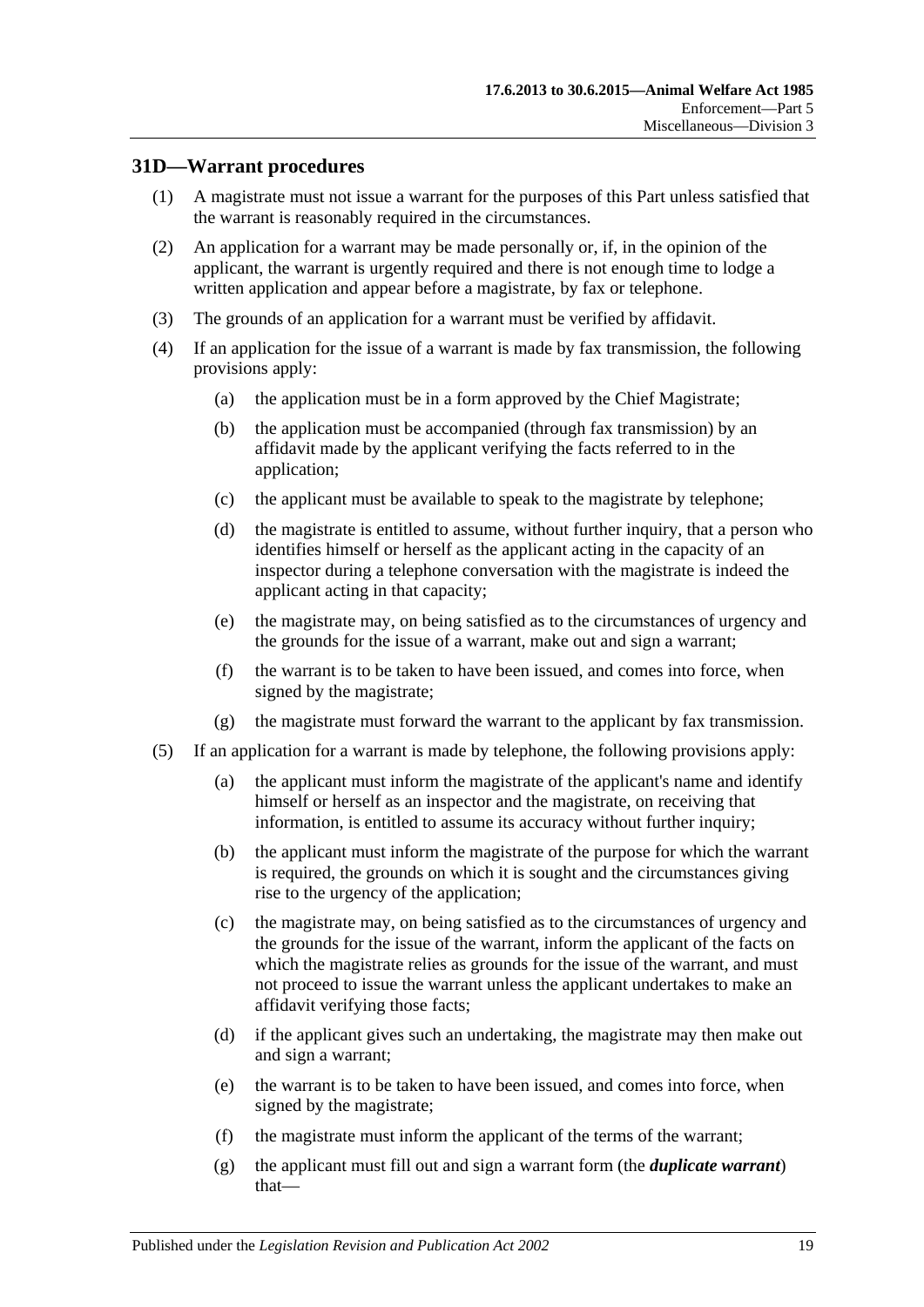## <span id="page-18-0"></span>**31D—Warrant procedures**

- (1) A magistrate must not issue a warrant for the purposes of this Part unless satisfied that the warrant is reasonably required in the circumstances.
- (2) An application for a warrant may be made personally or, if, in the opinion of the applicant, the warrant is urgently required and there is not enough time to lodge a written application and appear before a magistrate, by fax or telephone.
- (3) The grounds of an application for a warrant must be verified by affidavit.
- (4) If an application for the issue of a warrant is made by fax transmission, the following provisions apply:
	- (a) the application must be in a form approved by the Chief Magistrate;
	- (b) the application must be accompanied (through fax transmission) by an affidavit made by the applicant verifying the facts referred to in the application;
	- (c) the applicant must be available to speak to the magistrate by telephone;
	- (d) the magistrate is entitled to assume, without further inquiry, that a person who identifies himself or herself as the applicant acting in the capacity of an inspector during a telephone conversation with the magistrate is indeed the applicant acting in that capacity;
	- (e) the magistrate may, on being satisfied as to the circumstances of urgency and the grounds for the issue of a warrant, make out and sign a warrant;
	- (f) the warrant is to be taken to have been issued, and comes into force, when signed by the magistrate;
	- (g) the magistrate must forward the warrant to the applicant by fax transmission.
- <span id="page-18-1"></span>(5) If an application for a warrant is made by telephone, the following provisions apply:
	- (a) the applicant must inform the magistrate of the applicant's name and identify himself or herself as an inspector and the magistrate, on receiving that information, is entitled to assume its accuracy without further inquiry;
	- (b) the applicant must inform the magistrate of the purpose for which the warrant is required, the grounds on which it is sought and the circumstances giving rise to the urgency of the application;
	- (c) the magistrate may, on being satisfied as to the circumstances of urgency and the grounds for the issue of the warrant, inform the applicant of the facts on which the magistrate relies as grounds for the issue of the warrant, and must not proceed to issue the warrant unless the applicant undertakes to make an affidavit verifying those facts;
	- (d) if the applicant gives such an undertaking, the magistrate may then make out and sign a warrant;
	- (e) the warrant is to be taken to have been issued, and comes into force, when signed by the magistrate;
	- (f) the magistrate must inform the applicant of the terms of the warrant;
	- (g) the applicant must fill out and sign a warrant form (the *duplicate warrant*) that—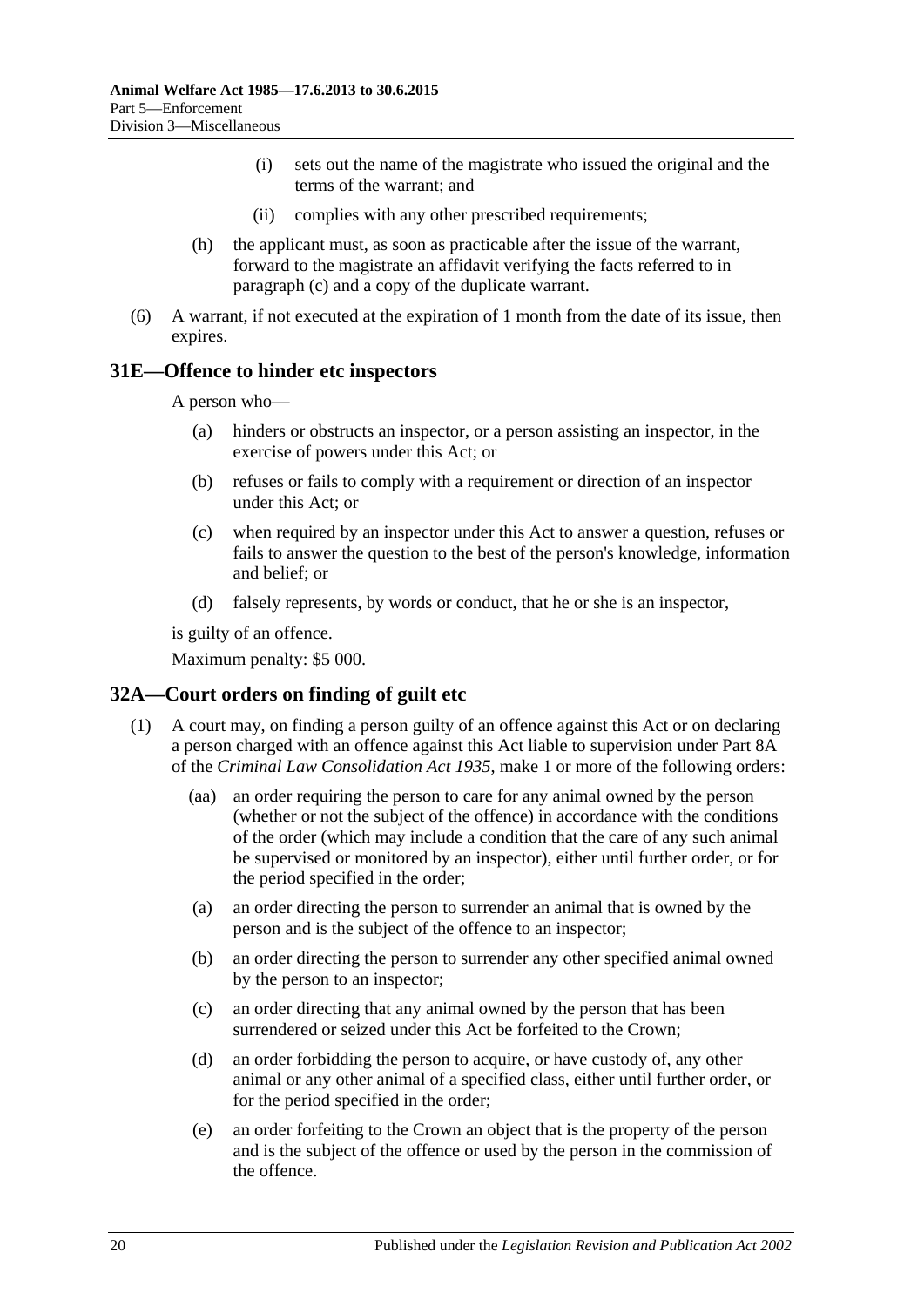- (i) sets out the name of the magistrate who issued the original and the terms of the warrant; and
- (ii) complies with any other prescribed requirements;
- (h) the applicant must, as soon as practicable after the issue of the warrant, forward to the magistrate an affidavit verifying the facts referred to in [paragraph](#page-18-1) (c) and a copy of the duplicate warrant.
- (6) A warrant, if not executed at the expiration of 1 month from the date of its issue, then expires.

#### <span id="page-19-0"></span>**31E—Offence to hinder etc inspectors**

A person who—

- (a) hinders or obstructs an inspector, or a person assisting an inspector, in the exercise of powers under this Act; or
- (b) refuses or fails to comply with a requirement or direction of an inspector under this Act; or
- (c) when required by an inspector under this Act to answer a question, refuses or fails to answer the question to the best of the person's knowledge, information and belief; or
- (d) falsely represents, by words or conduct, that he or she is an inspector,

is guilty of an offence.

Maximum penalty: \$5 000.

#### <span id="page-19-2"></span><span id="page-19-1"></span>**32A—Court orders on finding of guilt etc**

- (1) A court may, on finding a person guilty of an offence against this Act or on declaring a person charged with an offence against this Act liable to supervision under Part 8A of the *[Criminal Law Consolidation Act](http://www.legislation.sa.gov.au/index.aspx?action=legref&type=act&legtitle=Criminal%20Law%20Consolidation%20Act%201935) 1935*, make 1 or more of the following orders:
	- (aa) an order requiring the person to care for any animal owned by the person (whether or not the subject of the offence) in accordance with the conditions of the order (which may include a condition that the care of any such animal be supervised or monitored by an inspector), either until further order, or for the period specified in the order;
	- (a) an order directing the person to surrender an animal that is owned by the person and is the subject of the offence to an inspector;
	- (b) an order directing the person to surrender any other specified animal owned by the person to an inspector;
	- (c) an order directing that any animal owned by the person that has been surrendered or seized under this Act be forfeited to the Crown;
	- (d) an order forbidding the person to acquire, or have custody of, any other animal or any other animal of a specified class, either until further order, or for the period specified in the order;
	- (e) an order forfeiting to the Crown an object that is the property of the person and is the subject of the offence or used by the person in the commission of the offence.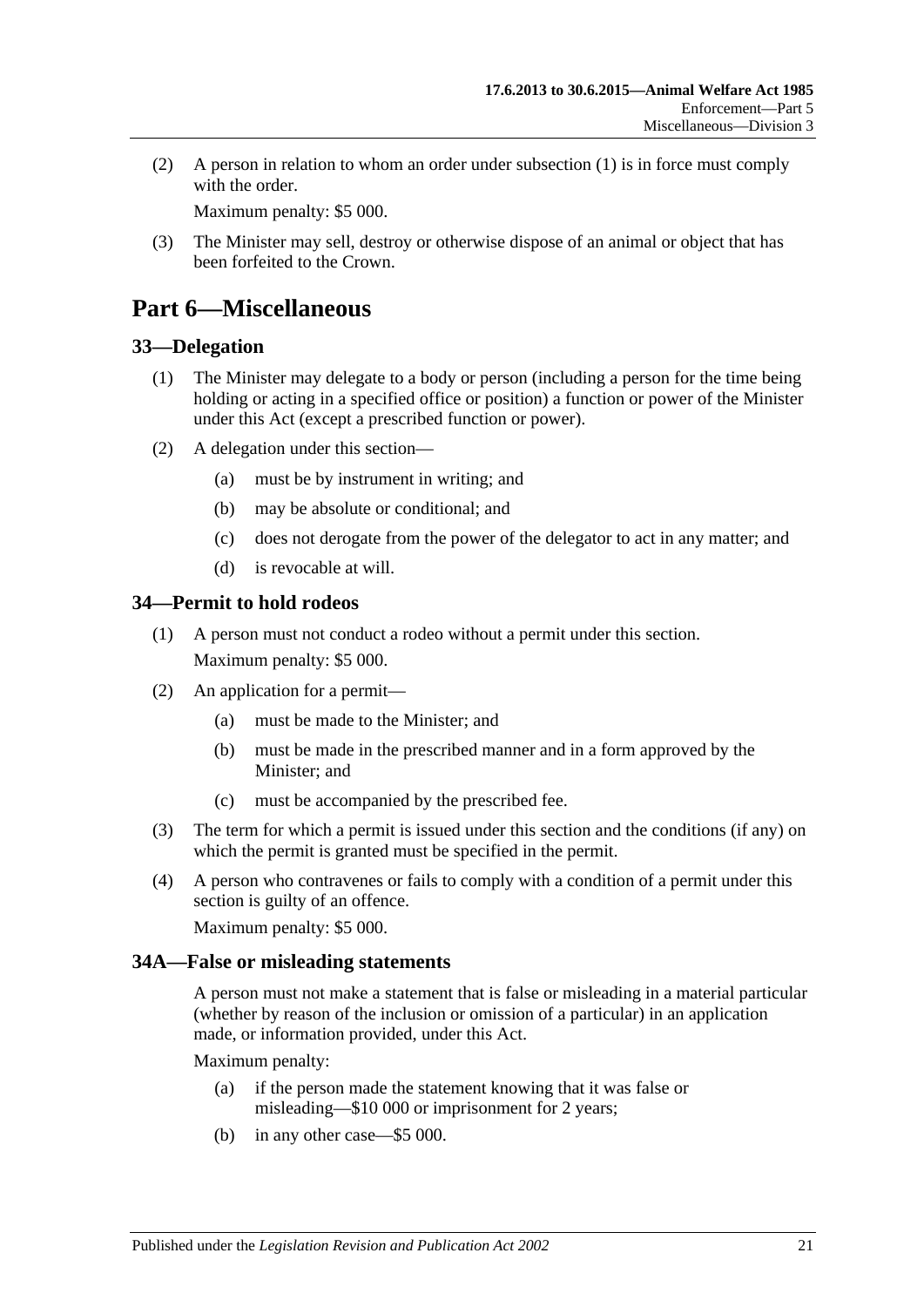(2) A person in relation to whom an order under [subsection](#page-19-2) (1) is in force must comply with the order

Maximum penalty: \$5 000.

(3) The Minister may sell, destroy or otherwise dispose of an animal or object that has been forfeited to the Crown.

# <span id="page-20-0"></span>**Part 6—Miscellaneous**

## <span id="page-20-1"></span>**33—Delegation**

- (1) The Minister may delegate to a body or person (including a person for the time being holding or acting in a specified office or position) a function or power of the Minister under this Act (except a prescribed function or power).
- (2) A delegation under this section—
	- (a) must be by instrument in writing; and
	- (b) may be absolute or conditional; and
	- (c) does not derogate from the power of the delegator to act in any matter; and
	- (d) is revocable at will.

## <span id="page-20-2"></span>**34—Permit to hold rodeos**

- (1) A person must not conduct a rodeo without a permit under this section. Maximum penalty: \$5 000.
- (2) An application for a permit—
	- (a) must be made to the Minister; and
	- (b) must be made in the prescribed manner and in a form approved by the Minister; and
	- (c) must be accompanied by the prescribed fee.
- (3) The term for which a permit is issued under this section and the conditions (if any) on which the permit is granted must be specified in the permit.
- (4) A person who contravenes or fails to comply with a condition of a permit under this section is guilty of an offence.

Maximum penalty: \$5 000.

## <span id="page-20-3"></span>**34A—False or misleading statements**

A person must not make a statement that is false or misleading in a material particular (whether by reason of the inclusion or omission of a particular) in an application made, or information provided, under this Act.

Maximum penalty:

- (a) if the person made the statement knowing that it was false or misleading—\$10 000 or imprisonment for 2 years;
- (b) in any other case—\$5 000.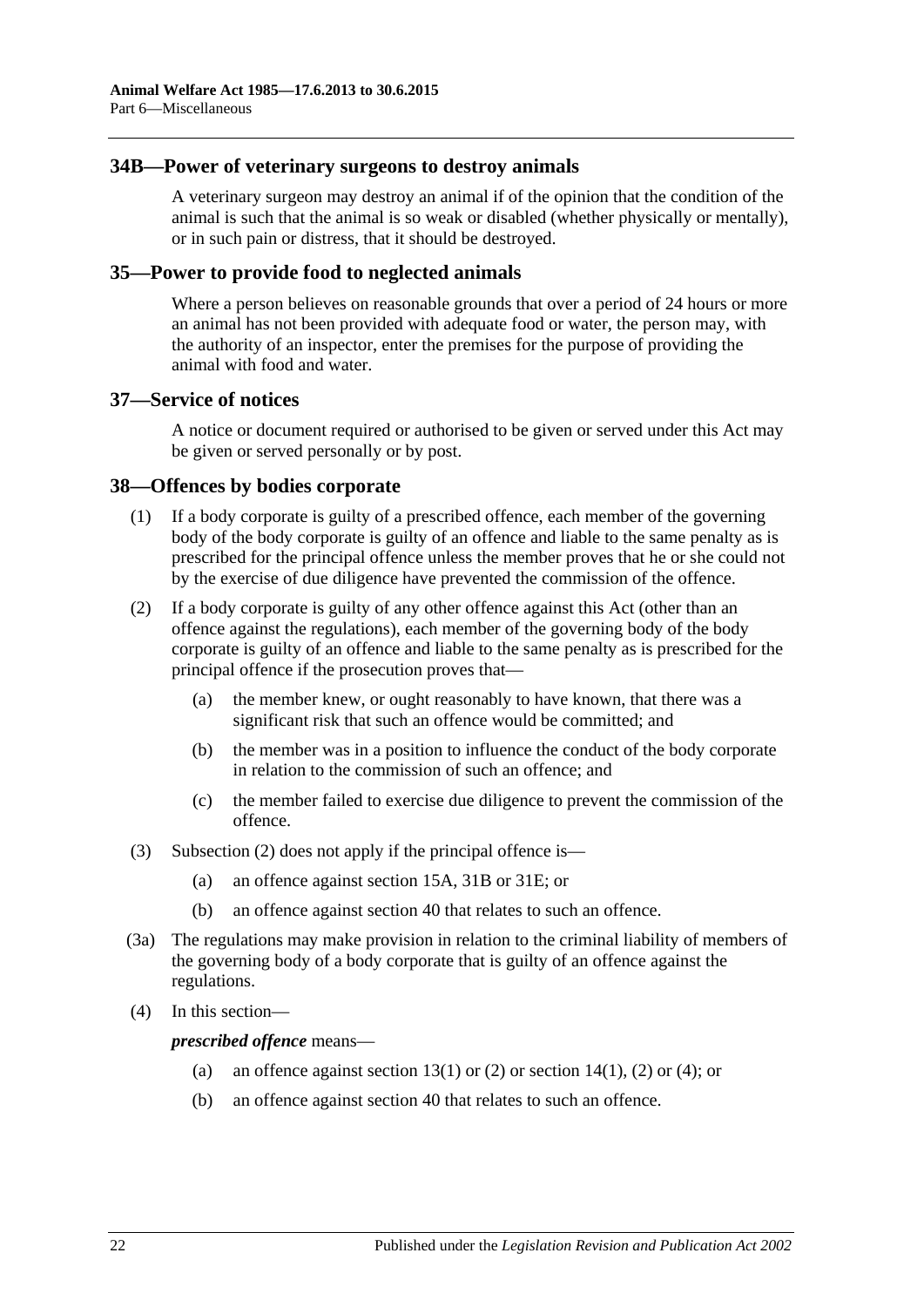### <span id="page-21-0"></span>**34B—Power of veterinary surgeons to destroy animals**

A veterinary surgeon may destroy an animal if of the opinion that the condition of the animal is such that the animal is so weak or disabled (whether physically or mentally), or in such pain or distress, that it should be destroyed.

#### <span id="page-21-1"></span>**35—Power to provide food to neglected animals**

Where a person believes on reasonable grounds that over a period of 24 hours or more an animal has not been provided with adequate food or water, the person may, with the authority of an inspector, enter the premises for the purpose of providing the animal with food and water.

#### <span id="page-21-2"></span>**37—Service of notices**

A notice or document required or authorised to be given or served under this Act may be given or served personally or by post.

#### <span id="page-21-3"></span>**38—Offences by bodies corporate**

- (1) If a body corporate is guilty of a prescribed offence, each member of the governing body of the body corporate is guilty of an offence and liable to the same penalty as is prescribed for the principal offence unless the member proves that he or she could not by the exercise of due diligence have prevented the commission of the offence.
- <span id="page-21-4"></span>(2) If a body corporate is guilty of any other offence against this Act (other than an offence against the regulations), each member of the governing body of the body corporate is guilty of an offence and liable to the same penalty as is prescribed for the principal offence if the prosecution proves that—
	- (a) the member knew, or ought reasonably to have known, that there was a significant risk that such an offence would be committed; and
	- (b) the member was in a position to influence the conduct of the body corporate in relation to the commission of such an offence; and
	- (c) the member failed to exercise due diligence to prevent the commission of the offence.
- (3) [Subsection](#page-21-4) (2) does not apply if the principal offence is—
	- (a) an offence against [section](#page-8-1) 15A, [31B](#page-17-0) or [31E;](#page-19-0) or
	- (b) an offence against [section](#page-22-1) 40 that relates to such an offence.
- (3a) The regulations may make provision in relation to the criminal liability of members of the governing body of a body corporate that is guilty of an offence against the regulations.
- (4) In this section—

*prescribed offence* means—

- (a) an offence against [section](#page-7-1)  $13(1)$  or [\(2\)](#page-7-2) or section  $14(1)$ , (2) or [\(4\);](#page-7-3) or
- (b) an offence against [section](#page-22-1) 40 that relates to such an offence.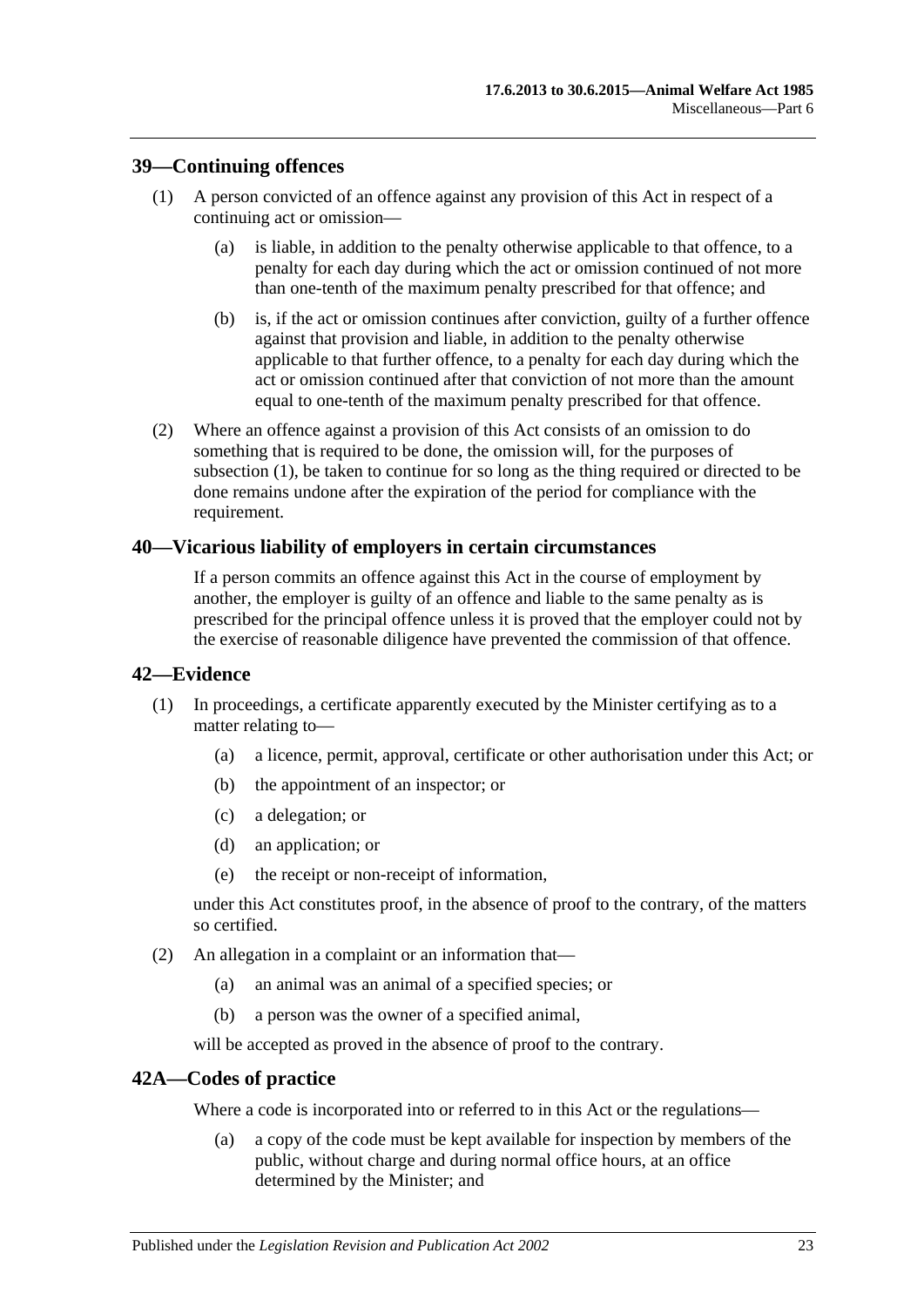### <span id="page-22-4"></span><span id="page-22-0"></span>**39—Continuing offences**

- (1) A person convicted of an offence against any provision of this Act in respect of a continuing act or omission—
	- (a) is liable, in addition to the penalty otherwise applicable to that offence, to a penalty for each day during which the act or omission continued of not more than one-tenth of the maximum penalty prescribed for that offence; and
	- (b) is, if the act or omission continues after conviction, guilty of a further offence against that provision and liable, in addition to the penalty otherwise applicable to that further offence, to a penalty for each day during which the act or omission continued after that conviction of not more than the amount equal to one-tenth of the maximum penalty prescribed for that offence.
- (2) Where an offence against a provision of this Act consists of an omission to do something that is required to be done, the omission will, for the purposes of [subsection](#page-22-4) (1), be taken to continue for so long as the thing required or directed to be done remains undone after the expiration of the period for compliance with the requirement.

#### <span id="page-22-1"></span>**40—Vicarious liability of employers in certain circumstances**

If a person commits an offence against this Act in the course of employment by another, the employer is guilty of an offence and liable to the same penalty as is prescribed for the principal offence unless it is proved that the employer could not by the exercise of reasonable diligence have prevented the commission of that offence.

#### <span id="page-22-2"></span>**42—Evidence**

- (1) In proceedings, a certificate apparently executed by the Minister certifying as to a matter relating to—
	- (a) a licence, permit, approval, certificate or other authorisation under this Act; or
	- (b) the appointment of an inspector; or
	- (c) a delegation; or
	- (d) an application; or
	- (e) the receipt or non-receipt of information,

under this Act constitutes proof, in the absence of proof to the contrary, of the matters so certified.

- (2) An allegation in a complaint or an information that—
	- (a) an animal was an animal of a specified species; or
	- (b) a person was the owner of a specified animal,

will be accepted as proved in the absence of proof to the contrary.

#### <span id="page-22-3"></span>**42A—Codes of practice**

Where a code is incorporated into or referred to in this Act or the regulations—

(a) a copy of the code must be kept available for inspection by members of the public, without charge and during normal office hours, at an office determined by the Minister; and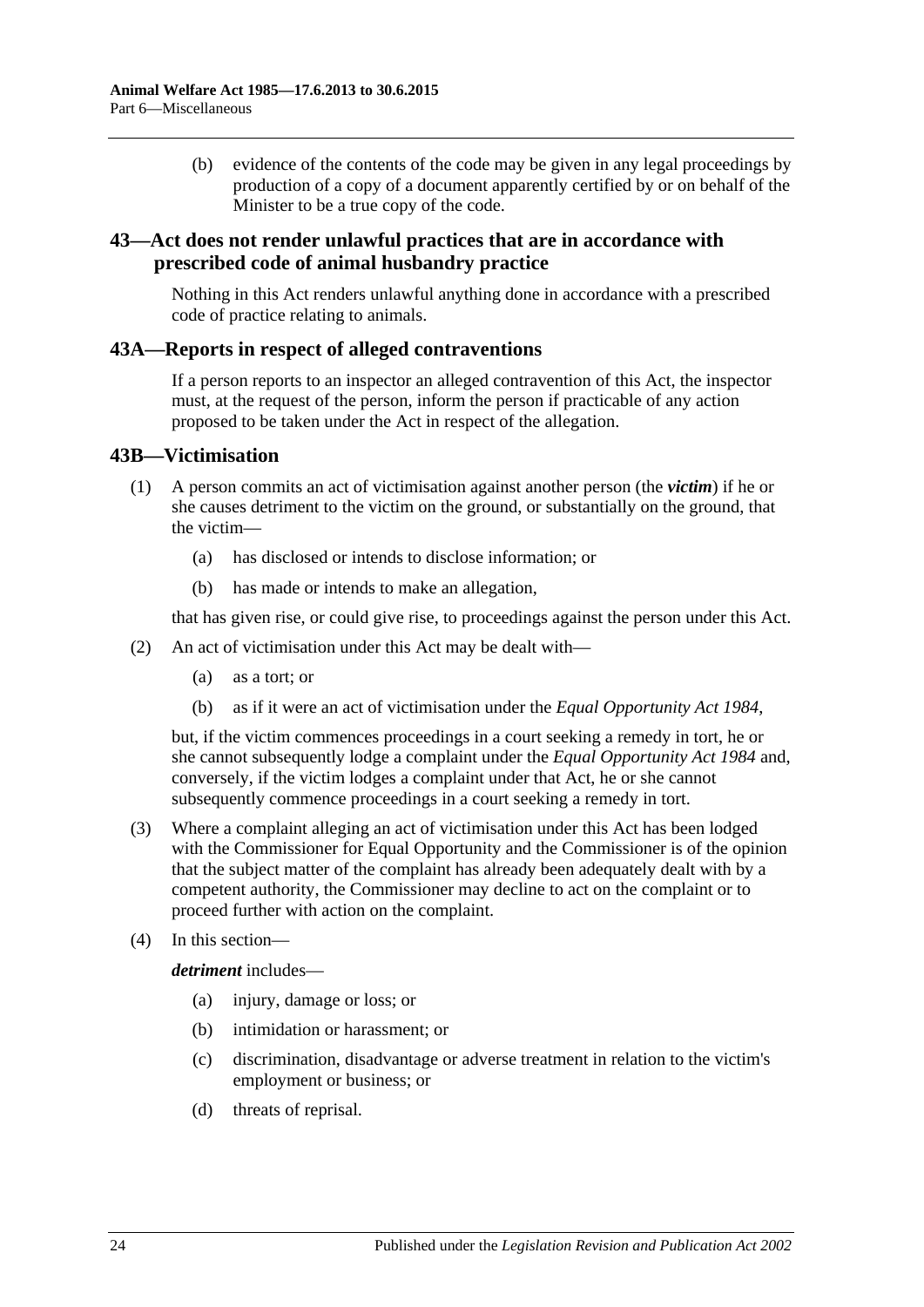(b) evidence of the contents of the code may be given in any legal proceedings by production of a copy of a document apparently certified by or on behalf of the Minister to be a true copy of the code.

## <span id="page-23-0"></span>**43—Act does not render unlawful practices that are in accordance with prescribed code of animal husbandry practice**

Nothing in this Act renders unlawful anything done in accordance with a prescribed code of practice relating to animals.

#### <span id="page-23-1"></span>**43A—Reports in respect of alleged contraventions**

If a person reports to an inspector an alleged contravention of this Act, the inspector must, at the request of the person, inform the person if practicable of any action proposed to be taken under the Act in respect of the allegation.

#### <span id="page-23-2"></span>**43B—Victimisation**

- (1) A person commits an act of victimisation against another person (the *victim*) if he or she causes detriment to the victim on the ground, or substantially on the ground, that the victim—
	- (a) has disclosed or intends to disclose information; or
	- (b) has made or intends to make an allegation,

that has given rise, or could give rise, to proceedings against the person under this Act.

- (2) An act of victimisation under this Act may be dealt with—
	- (a) as a tort; or
	- (b) as if it were an act of victimisation under the *[Equal Opportunity Act](http://www.legislation.sa.gov.au/index.aspx?action=legref&type=act&legtitle=Equal%20Opportunity%20Act%201984) 1984*,

but, if the victim commences proceedings in a court seeking a remedy in tort, he or she cannot subsequently lodge a complaint under the *[Equal Opportunity Act](http://www.legislation.sa.gov.au/index.aspx?action=legref&type=act&legtitle=Equal%20Opportunity%20Act%201984) 1984* and, conversely, if the victim lodges a complaint under that Act, he or she cannot subsequently commence proceedings in a court seeking a remedy in tort.

- (3) Where a complaint alleging an act of victimisation under this Act has been lodged with the Commissioner for Equal Opportunity and the Commissioner is of the opinion that the subject matter of the complaint has already been adequately dealt with by a competent authority, the Commissioner may decline to act on the complaint or to proceed further with action on the complaint.
- (4) In this section—

*detriment* includes—

- (a) injury, damage or loss; or
- (b) intimidation or harassment; or
- (c) discrimination, disadvantage or adverse treatment in relation to the victim's employment or business; or
- (d) threats of reprisal.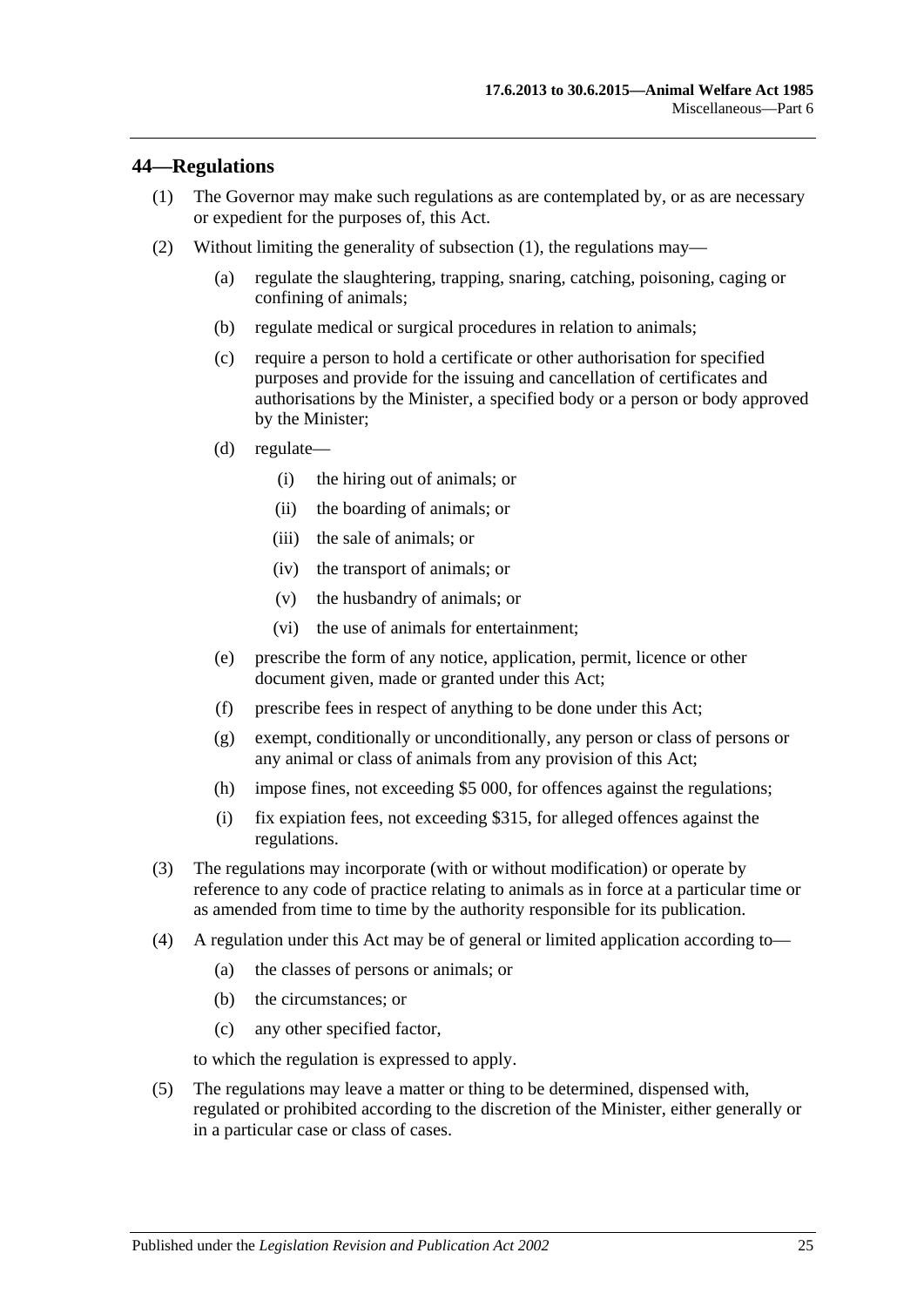## <span id="page-24-1"></span><span id="page-24-0"></span>**44—Regulations**

- (1) The Governor may make such regulations as are contemplated by, or as are necessary or expedient for the purposes of, this Act.
- (2) Without limiting the generality of [subsection](#page-24-1) (1), the regulations may—
	- (a) regulate the slaughtering, trapping, snaring, catching, poisoning, caging or confining of animals;
	- (b) regulate medical or surgical procedures in relation to animals;
	- (c) require a person to hold a certificate or other authorisation for specified purposes and provide for the issuing and cancellation of certificates and authorisations by the Minister, a specified body or a person or body approved by the Minister;
	- (d) regulate—
		- (i) the hiring out of animals; or
		- (ii) the boarding of animals; or
		- (iii) the sale of animals; or
		- (iv) the transport of animals; or
		- (v) the husbandry of animals; or
		- (vi) the use of animals for entertainment;
	- (e) prescribe the form of any notice, application, permit, licence or other document given, made or granted under this Act;
	- (f) prescribe fees in respect of anything to be done under this Act;
	- (g) exempt, conditionally or unconditionally, any person or class of persons or any animal or class of animals from any provision of this Act;
	- (h) impose fines, not exceeding \$5 000, for offences against the regulations;
	- (i) fix expiation fees, not exceeding \$315, for alleged offences against the regulations.
- (3) The regulations may incorporate (with or without modification) or operate by reference to any code of practice relating to animals as in force at a particular time or as amended from time to time by the authority responsible for its publication.
- (4) A regulation under this Act may be of general or limited application according to—
	- (a) the classes of persons or animals; or
	- (b) the circumstances; or
	- (c) any other specified factor,

to which the regulation is expressed to apply.

(5) The regulations may leave a matter or thing to be determined, dispensed with, regulated or prohibited according to the discretion of the Minister, either generally or in a particular case or class of cases.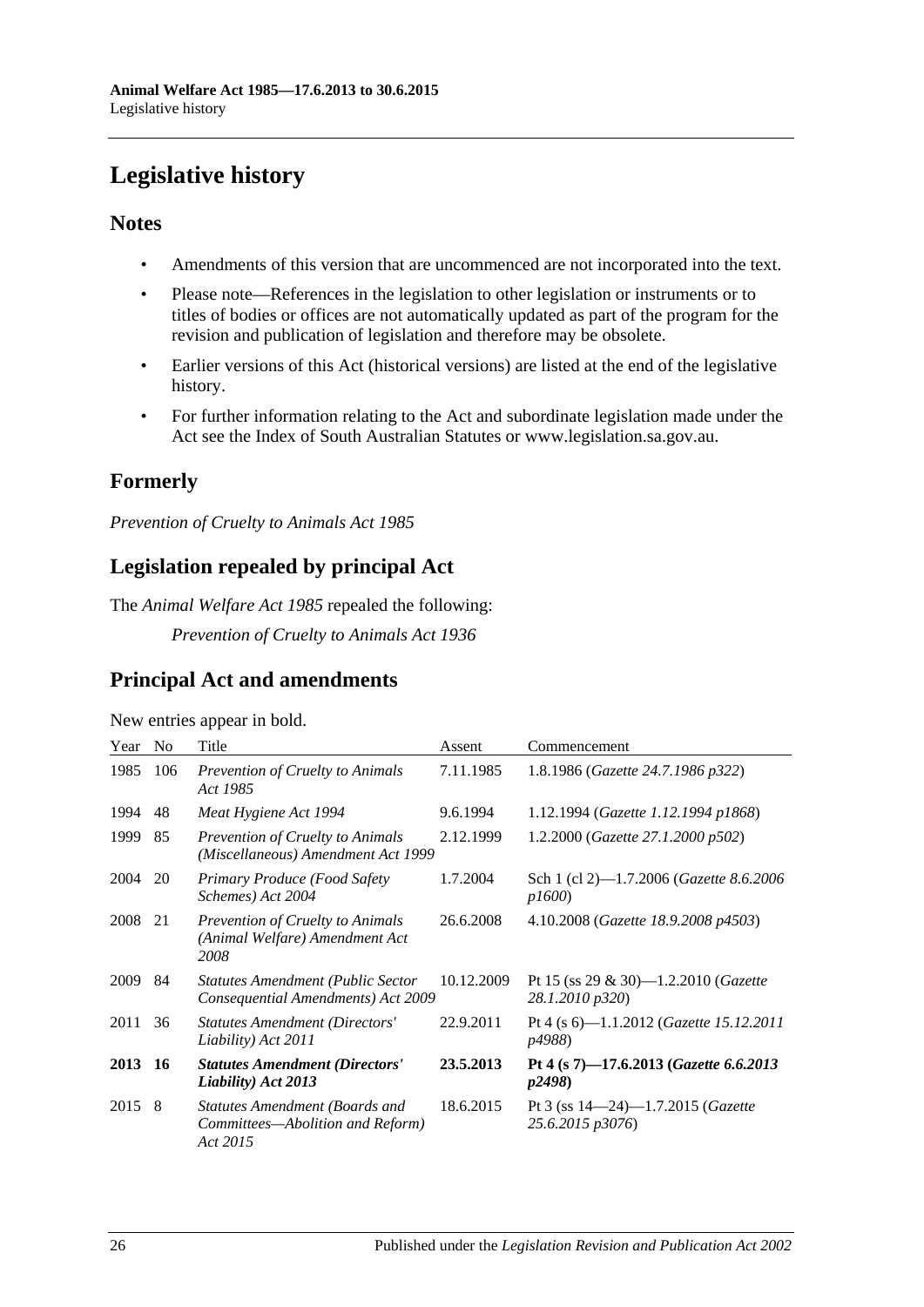# <span id="page-25-0"></span>**Legislative history**

## **Notes**

- Amendments of this version that are uncommenced are not incorporated into the text.
- Please note—References in the legislation to other legislation or instruments or to titles of bodies or offices are not automatically updated as part of the program for the revision and publication of legislation and therefore may be obsolete.
- Earlier versions of this Act (historical versions) are listed at the end of the legislative history.
- For further information relating to the Act and subordinate legislation made under the Act see the Index of South Australian Statutes or www.legislation.sa.gov.au.

# **Formerly**

*Prevention of Cruelty to Animals Act 1985*

# **Legislation repealed by principal Act**

The *Animal Welfare Act 1985* repealed the following:

*Prevention of Cruelty to Animals Act 1936*

## **Principal Act and amendments**

| New entries appear in bold. |  |  |
|-----------------------------|--|--|
|                             |  |  |
|                             |  |  |
|                             |  |  |

| Year    | N <sub>0</sub> | Title                                                                          | Assent     | Commencement                                                     |
|---------|----------------|--------------------------------------------------------------------------------|------------|------------------------------------------------------------------|
| 1985    | 106            | <b>Prevention of Cruelty to Animals</b><br>Act 1985                            | 7.11.1985  | 1.8.1986 (Gazette 24.7.1986 p322)                                |
| 1994    | 48             | Meat Hygiene Act 1994                                                          | 9.6.1994   | 1.12.1994 (Gazette 1.12.1994 p1868)                              |
| 1999    | 85             | Prevention of Cruelty to Animals<br>(Miscellaneous) Amendment Act 1999         | 2.12.1999  | 1.2.2000 ( <i>Gazette 27.1.2000 p502</i> )                       |
| 2004    | 20             | Primary Produce (Food Safety<br>Schemes) Act 2004                              | 1.7.2004   | Sch 1 (cl 2)-1.7.2006 (Gazette 8.6.2006)<br><i>p1600</i> )       |
| 2008    | 21             | Prevention of Cruelty to Animals<br>(Animal Welfare) Amendment Act<br>2008     | 26.6.2008  | 4.10.2008 (Gazette 18.9.2008 p4503)                              |
| 2009    | 84             | <b>Statutes Amendment (Public Sector</b><br>Consequential Amendments) Act 2009 | 10.12.2009 | Pt 15 (ss 29 & 30)—1.2.2010 ( <i>Gazette</i><br>28.1.2010 p320)  |
| 2011    | 36             | <b>Statutes Amendment (Directors'</b><br>Liability) Act 2011                   | 22.9.2011  | Pt 4 (s 6)—1.1.2012 ( <i>Gazette 15.12.2011</i><br>p4988)        |
| 2013 16 |                | <b>Statutes Amendment (Directors'</b><br>Liability) Act 2013                   | 23.5.2013  | Pt 4 (s 7)-17.6.2013 (Gazette 6.6.2013<br><i>p2498</i> )         |
| 2015    | -8             | Statutes Amendment (Boards and<br>Committees—Abolition and Reform)<br>Act 2015 | 18.6.2015  | Pt 3 (ss $14-24$ )-1.7.2015 ( <i>Gazette</i><br>25.6.2015 p3076) |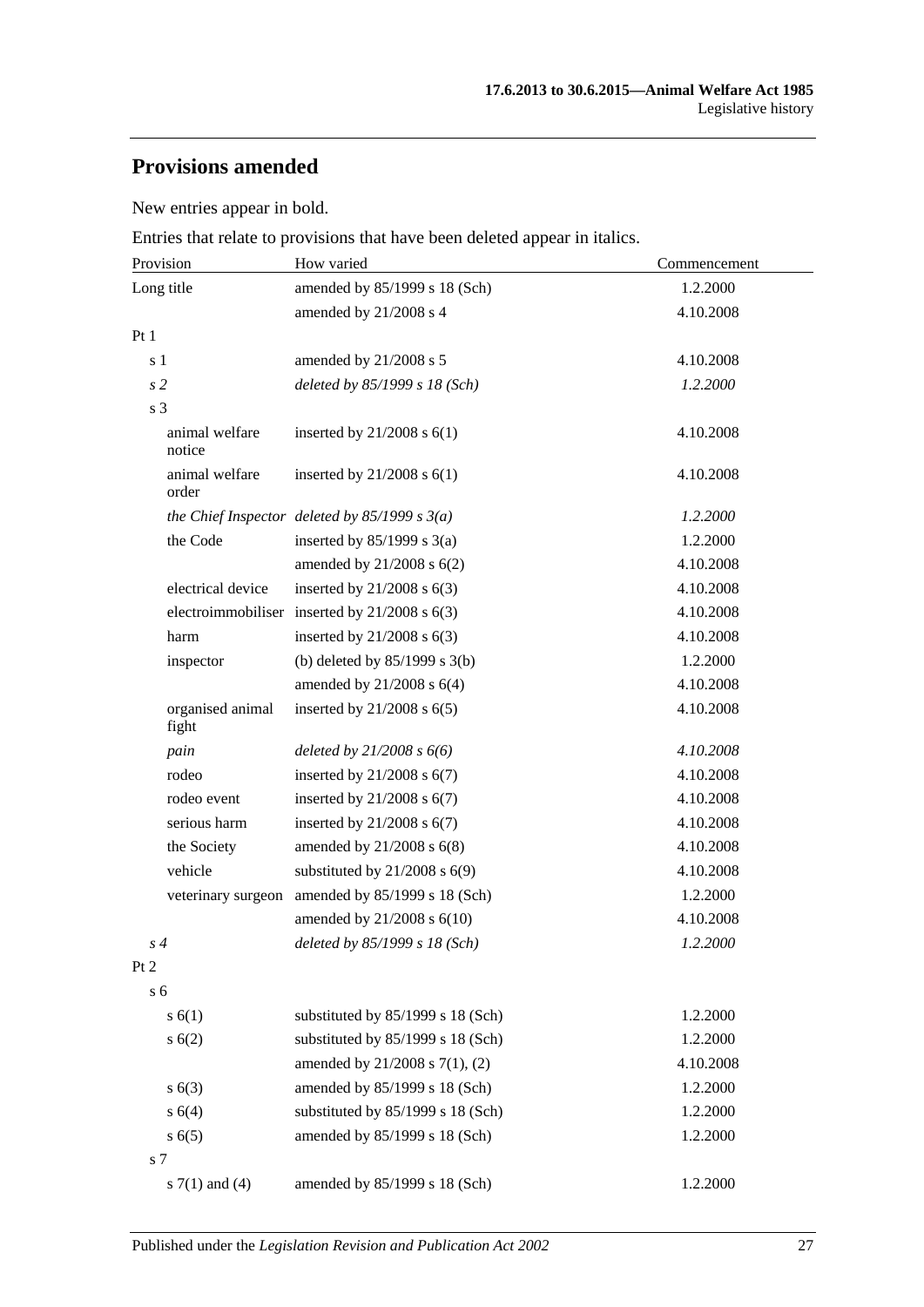# **Provisions amended**

New entries appear in bold.

Entries that relate to provisions that have been deleted appear in italics.

| Provision                 | How varied                                        | Commencement |
|---------------------------|---------------------------------------------------|--------------|
| Long title                | amended by 85/1999 s 18 (Sch)                     | 1.2.2000     |
|                           | amended by 21/2008 s 4                            | 4.10.2008    |
| Pt1                       |                                                   |              |
| s 1                       | amended by 21/2008 s 5                            | 4.10.2008    |
| s <sub>2</sub>            | deleted by 85/1999 s 18 (Sch)                     | 1.2.2000     |
| s 3                       |                                                   |              |
| animal welfare<br>notice  | inserted by $21/2008$ s $6(1)$                    | 4.10.2008    |
| animal welfare<br>order   | inserted by $21/2008$ s $6(1)$                    | 4.10.2008    |
|                           | the Chief Inspector deleted by $85/1999 s 3(a)$   | 1.2.2000     |
| the Code                  | inserted by $85/1999$ s 3(a)                      | 1.2.2000     |
|                           | amended by $21/2008$ s $6(2)$                     | 4.10.2008    |
| electrical device         | inserted by $21/2008$ s $6(3)$                    | 4.10.2008    |
|                           | electroimmobiliser inserted by $21/2008$ s $6(3)$ | 4.10.2008    |
| harm                      | inserted by $21/2008$ s $6(3)$                    | 4.10.2008    |
| inspector                 | (b) deleted by $85/1999$ s 3(b)                   | 1.2.2000     |
|                           | amended by 21/2008 s 6(4)                         | 4.10.2008    |
| organised animal<br>fight | inserted by $21/2008$ s $6(5)$                    | 4.10.2008    |
| pain                      | deleted by $21/2008 s 6(6)$                       | 4.10.2008    |
| rodeo                     | inserted by $21/2008$ s $6(7)$                    | 4.10.2008    |
| rodeo event               | inserted by $21/2008$ s $6(7)$                    | 4.10.2008    |
| serious harm              | inserted by $21/2008$ s $6(7)$                    | 4.10.2008    |
| the Society               | amended by $21/2008$ s $6(8)$                     | 4.10.2008    |
| vehicle                   | substituted by $21/2008$ s $6(9)$                 | 4.10.2008    |
| veterinary surgeon        | amended by 85/1999 s 18 (Sch)                     | 1.2.2000     |
|                           | amended by $21/2008$ s $6(10)$                    | 4.10.2008    |
| $s\,4$                    | deleted by 85/1999 s 18 (Sch)                     | 1.2.2000     |
| Pt <sub>2</sub>           |                                                   |              |
| s <sub>6</sub>            |                                                   |              |
| s(6(1))                   | substituted by 85/1999 s 18 (Sch)                 | 1.2.2000     |
| s(6(2))                   | substituted by 85/1999 s 18 (Sch)                 | 1.2.2000     |
|                           | amended by 21/2008 s 7(1), (2)                    | 4.10.2008    |
| s(6(3))                   | amended by 85/1999 s 18 (Sch)                     | 1.2.2000     |
| s 6(4)                    | substituted by 85/1999 s 18 (Sch)                 | 1.2.2000     |
| s(6(5)                    | amended by 85/1999 s 18 (Sch)                     | 1.2.2000     |
| s 7                       |                                                   |              |
| s $7(1)$ and $(4)$        | amended by 85/1999 s 18 (Sch)                     | 1.2.2000     |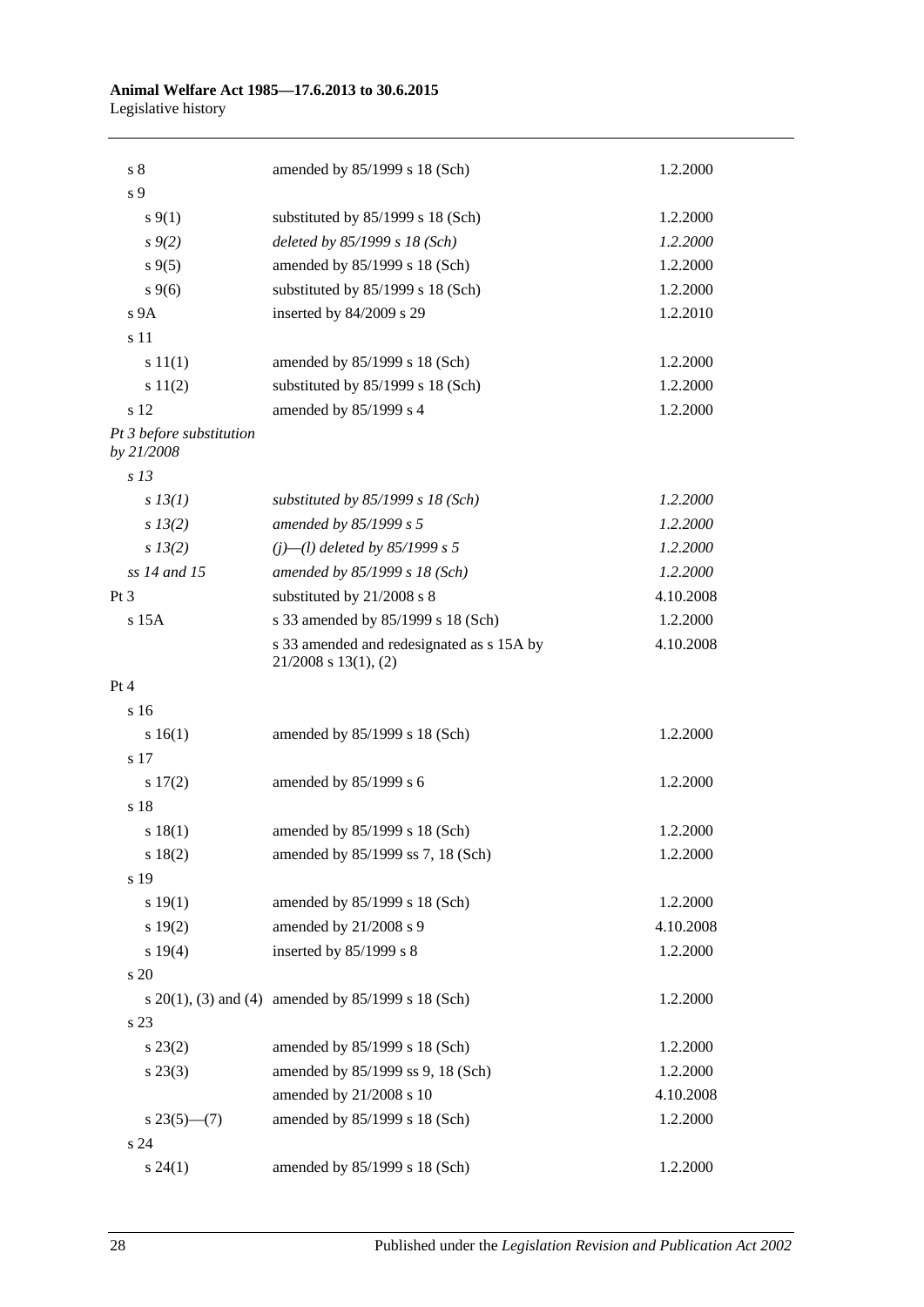#### **Animal Welfare Act 1985—17.6.2013 to 30.6.2015** Legislative history

| s <sub>8</sub>                         | amended by 85/1999 s 18 (Sch)                                          | 1.2.2000  |
|----------------------------------------|------------------------------------------------------------------------|-----------|
| s 9                                    |                                                                        |           |
| $s \, 9(1)$                            | substituted by 85/1999 s 18 (Sch)                                      | 1.2.2000  |
| $s \, 9(2)$                            | deleted by 85/1999 s 18 (Sch)                                          | 1.2.2000  |
| $s\,9(5)$                              | amended by 85/1999 s 18 (Sch)                                          | 1.2.2000  |
| $s \, 9(6)$                            | substituted by 85/1999 s 18 (Sch)                                      | 1.2.2000  |
| s <sub>9A</sub>                        | inserted by 84/2009 s 29                                               | 1.2.2010  |
| s 11                                   |                                                                        |           |
| s 11(1)                                | amended by 85/1999 s 18 (Sch)                                          | 1.2.2000  |
| s 11(2)                                | substituted by 85/1999 s 18 (Sch)                                      | 1.2.2000  |
| s 12                                   | amended by 85/1999 s 4                                                 | 1.2.2000  |
| Pt 3 before substitution<br>by 21/2008 |                                                                        |           |
| s <sub>13</sub>                        |                                                                        |           |
| $s$ 13(1)                              | substituted by $85/1999$ s 18 (Sch)                                    | 1.2.2000  |
| $s\,13(2)$                             | amended by 85/1999 s 5                                                 | 1.2.2000  |
| $s\,13(2)$                             | $(i)$ — $(l)$ deleted by 85/1999 s 5                                   | 1.2.2000  |
| ss 14 and 15                           | amended by 85/1999 s 18 (Sch)                                          | 1.2.2000  |
| $Pt\,3$                                | substituted by 21/2008 s 8                                             | 4.10.2008 |
| $s$ 15 $A$                             | s 33 amended by 85/1999 s 18 (Sch)                                     | 1.2.2000  |
|                                        | s 33 amended and redesignated as s 15A by<br>$21/2008$ s $13(1)$ , (2) | 4.10.2008 |
| Pt 4                                   |                                                                        |           |
| s 16                                   |                                                                        |           |
| s 16(1)                                | amended by 85/1999 s 18 (Sch)                                          | 1.2.2000  |
| s 17                                   |                                                                        |           |
| 17(2)                                  | amended by 85/1999 s 6                                                 | 1.2.2000  |
| s 18                                   |                                                                        |           |
| s 18(1)                                | amended by 85/1999 s 18 (Sch)                                          | 1.2.2000  |
| s 18(2)                                | amended by 85/1999 ss 7, 18 (Sch)                                      | 1.2.2000  |
| s 19                                   |                                                                        |           |
| s 19(1)                                | amended by 85/1999 s 18 (Sch)                                          | 1.2.2000  |
| s 19(2)                                | amended by 21/2008 s 9                                                 | 4.10.2008 |
| s 19(4)                                | inserted by 85/1999 s 8                                                | 1.2.2000  |
| s 20                                   |                                                                        |           |
|                                        | s $20(1)$ , (3) and (4) amended by $85/1999$ s 18 (Sch)                | 1.2.2000  |
| s 23                                   |                                                                        |           |
| $s\,23(2)$                             | amended by 85/1999 s 18 (Sch)                                          | 1.2.2000  |
| $s\,23(3)$                             | amended by 85/1999 ss 9, 18 (Sch)                                      | 1.2.2000  |
|                                        | amended by 21/2008 s 10                                                | 4.10.2008 |
| $s \, 23(5)$ —(7)                      | amended by 85/1999 s 18 (Sch)                                          | 1.2.2000  |
| s 24                                   |                                                                        |           |
| $s\,24(1)$                             | amended by 85/1999 s 18 (Sch)                                          | 1.2.2000  |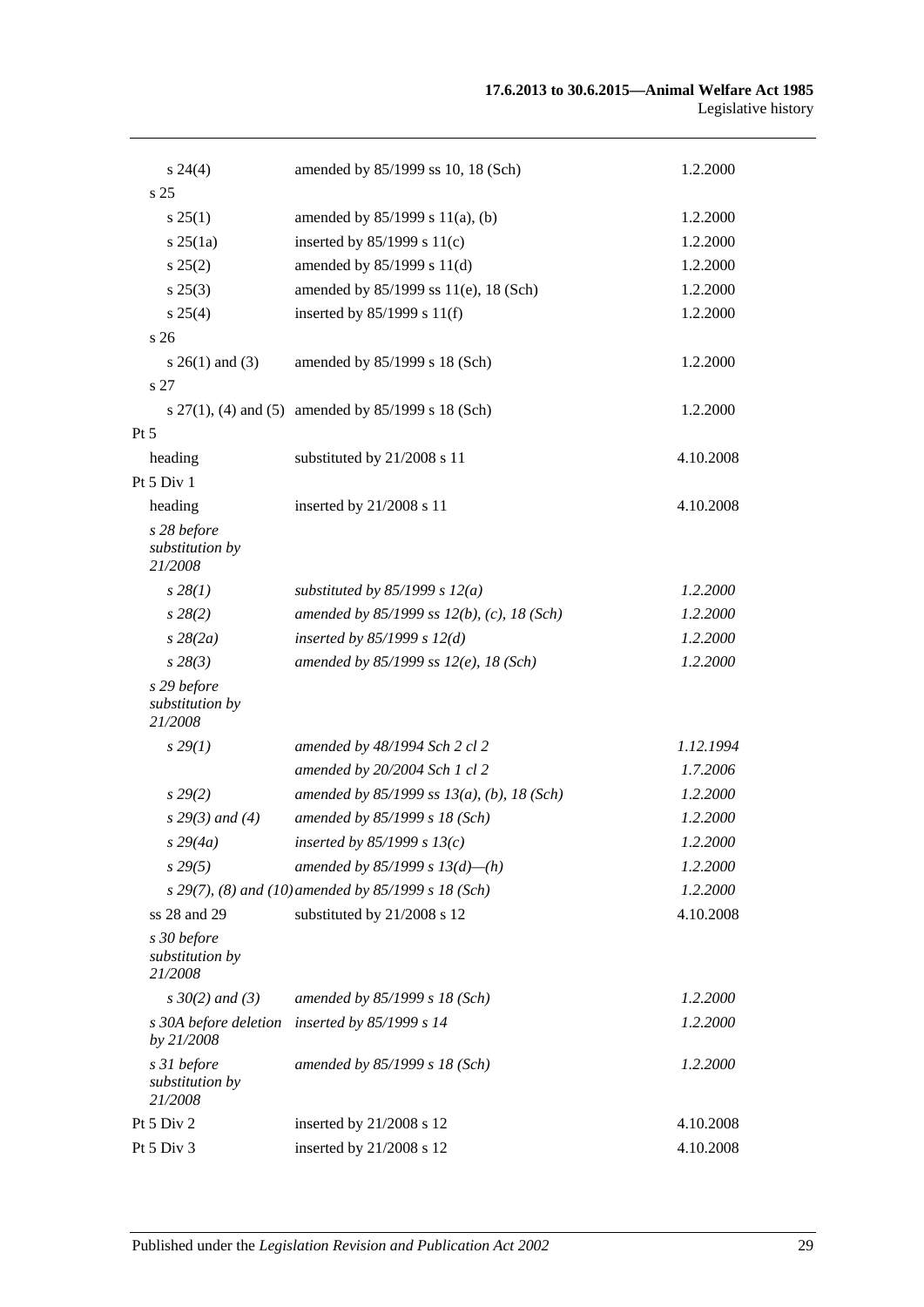| $s\,24(4)$                                | amended by 85/1999 ss 10, 18 (Sch)                  | 1.2.2000  |
|-------------------------------------------|-----------------------------------------------------|-----------|
| s 25                                      |                                                     |           |
| $s \, 25(1)$                              | amended by $85/1999$ s $11(a)$ , (b)                | 1.2.2000  |
| s 25(1a)                                  | inserted by $85/1999$ s $11(c)$                     | 1.2.2000  |
| $s\,25(2)$                                | amended by 85/1999 s 11(d)                          | 1.2.2000  |
| $s\,25(3)$                                | amended by 85/1999 ss 11(e), 18 (Sch)               | 1.2.2000  |
| s 25(4)                                   | inserted by $85/1999$ s $11(f)$                     | 1.2.2000  |
| s <sub>26</sub>                           |                                                     |           |
| s $26(1)$ and (3)                         | amended by 85/1999 s 18 (Sch)                       | 1.2.2000  |
| s 27                                      |                                                     |           |
|                                           | s 27(1), (4) and (5) amended by 85/1999 s 18 (Sch)  | 1.2.2000  |
| $Pt\,5$                                   |                                                     |           |
| heading                                   | substituted by 21/2008 s 11                         | 4.10.2008 |
| Pt 5 Div 1                                |                                                     |           |
| heading                                   | inserted by 21/2008 s 11                            | 4.10.2008 |
| s 28 before<br>substitution by<br>21/2008 |                                                     |           |
| $s\,28(1)$                                | substituted by $85/1999$ s $12(a)$                  | 1.2.2000  |
| $s\,28(2)$                                | amended by 85/1999 ss $12(b)$ , (c), 18 (Sch)       | 1.2.2000  |
| $s\,28(2a)$                               | inserted by $85/1999 s 12(d)$                       | 1.2.2000  |
| $s\,28(3)$                                | amended by 85/1999 ss $12(e)$ , 18 (Sch)            | 1.2.2000  |
| s 29 before<br>substitution by<br>21/2008 |                                                     |           |
| $s\,29(1)$                                | amended by 48/1994 Sch 2 cl 2                       | 1.12.1994 |
|                                           | amended by 20/2004 Sch 1 cl 2                       | 1.7.2006  |
| $s\,29(2)$                                | amended by $85/1999$ ss $13(a)$ , (b), 18 (Sch)     | 1.2.2000  |
| $s$ 29(3) and (4)                         | amended by 85/1999 s 18 (Sch)                       | 1.2.2000  |
| $s\,29(4a)$                               | inserted by $85/1999 s 13(c)$                       | 1.2.2000  |
| $s\,29(5)$                                | amended by 85/1999 s $13(d)$ —(h)                   | 1.2.2000  |
|                                           | s 29(7), (8) and (10) amended by 85/1999 s 18 (Sch) | 1.2.2000  |
| ss 28 and 29                              | substituted by 21/2008 s 12                         | 4.10.2008 |
| s 30 before<br>substitution by<br>21/2008 |                                                     |           |
| $s \, 30(2)$ and (3)                      | amended by 85/1999 s 18 (Sch)                       | 1.2.2000  |
| s 30A before deletion<br>by 21/2008       | inserted by 85/1999 s 14                            | 1.2.2000  |
| s 31 before<br>substitution by<br>21/2008 | amended by 85/1999 s 18 (Sch)                       | 1.2.2000  |
| Pt 5 Div 2                                | inserted by 21/2008 s 12                            | 4.10.2008 |
| Pt 5 Div 3                                | inserted by 21/2008 s 12                            | 4.10.2008 |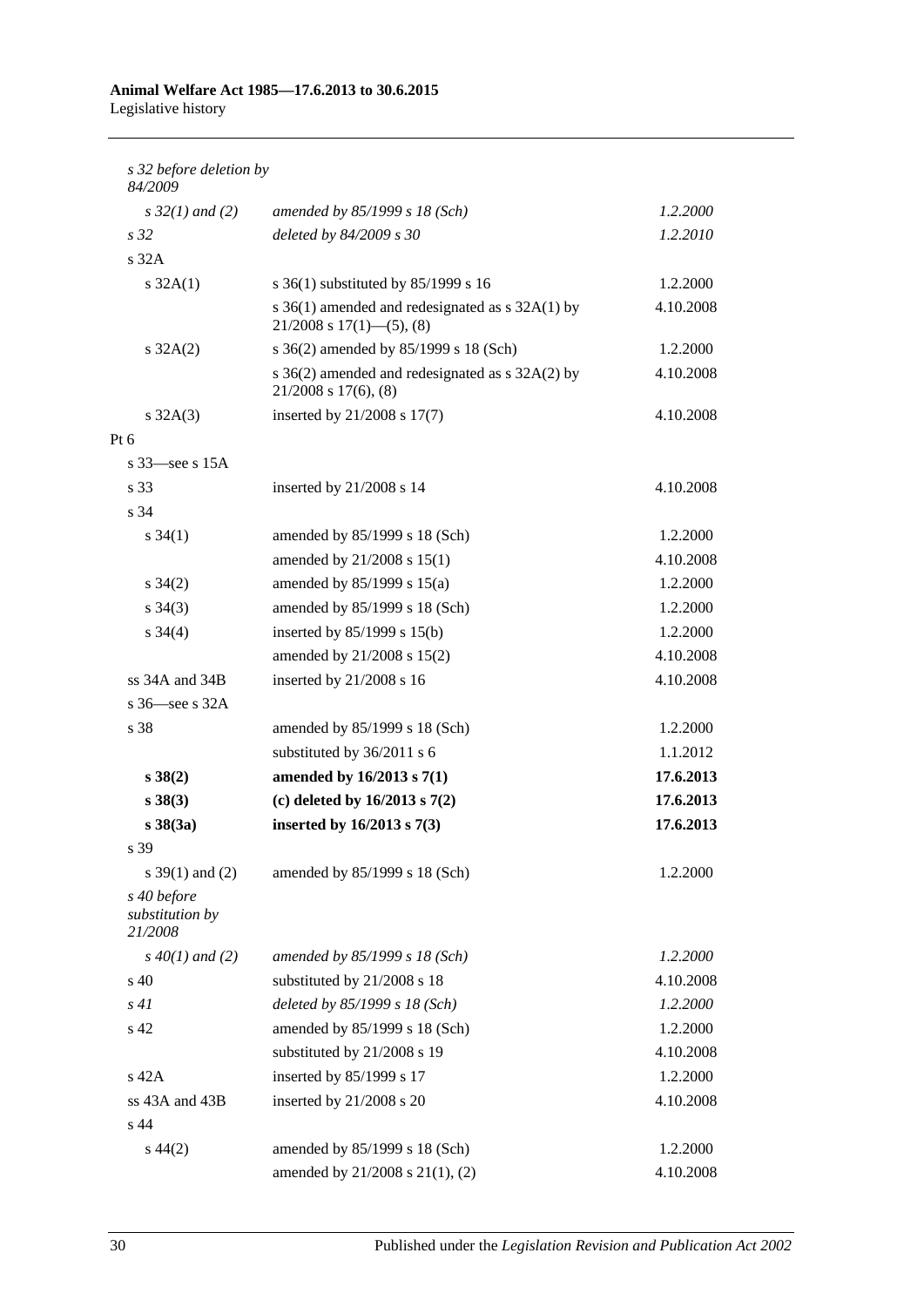#### **Animal Welfare Act 1985—17.6.2013 to 30.6.2015** Legislative history

*s 32 before deletion by 84/2009 s 32(1) and (2) amended by 85/1999 s 18 (Sch) 1.2.2000 s 32 deleted by 84/2009 s 30 1.2.2010* s 32A s 32A(1) s 36(1) substituted by 85/1999 s 16 1.2.2000 s 36(1) amended and redesignated as s 32A(1) by  $21/2008$  s  $17(1)$ —(5), (8) 4.10.2008 s 32A(2) s 36(2) amended by 85/1999 s 18 (Sch) 1.2.2000 s 36(2) amended and redesignated as s 32A(2) by 21/2008 s 17(6), (8) 4.10.2008 s 32A(3) inserted by 21/2008 s 17(7) 4.10.2008 Pt 6 s 33—see s 15A s 33 inserted by 21/2008 s 14 4.10.2008 s 34 s 34(1) amended by 85/1999 s 18 (Sch) 1.2.2000 amended by 21/2008 s 15(1) 4.10.2008 s 34(2) amended by 85/1999 s 15(a) 1.2.2000 s 34(3) amended by 85/1999 s 18 (Sch) 1.2.2000 s 34(4) inserted by 85/1999 s 15(b) 1.2.2000 amended by 21/2008 s 15(2) 4.10.2008 ss 34A and 34B inserted by 21/2008 s 16 4.10.2008 s 36—see s 32A s 38 amended by 85/1999 s 18 (Sch) 1.2.2000 substituted by 36/2011 s 6 1.1.2012 **s 38(2) amended by 16/2013 s 7(1) 17.6.2013 s 38(3) (c) deleted by 16/2013 s 7(2) 17.6.2013 s 38(3a) inserted by 16/2013 s 7(3) 17.6.2013** s 39 s 39(1) and (2) amended by 85/1999 s 18 (Sch) 1.2.2000 *s 40 before substitution by 21/2008 s 40(1) and (2) amended by 85/1999 s 18 (Sch) 1.2.2000* s 40 substituted by 21/2008 s 18 4.10.2008 *s 41 deleted by 85/1999 s 18 (Sch) 1.2.2000* s 42 amended by 85/1999 s 18 (Sch) 1.2.2000 substituted by 21/2008 s 19 4.10.2008 s 42A inserted by 85/1999 s 17 1.2.2000 ss 43A and 43B inserted by  $21/2008$  s 20 4.10.2008 s 44 s 44(2) amended by 85/1999 s 18 (Sch) 1.2.2000 amended by 21/2008 s 21(1), (2) 4.10.2008